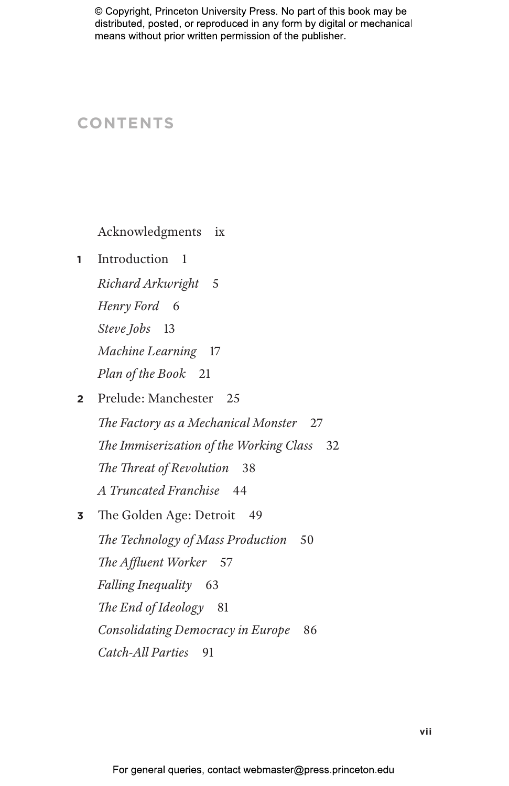# **CONTENTS**

Acknowledgments ix

- **1** Introduction 1
	- *Richard Arkwright* 5 *Henry Ford* 6 *Steve Jobs* 13 *Machine Learning* 17
		- *Plan of the Book* 21
- **2** Prelude: Manchester 25 *The Factory as a Mechanical Monster* 27 *The Immiserization of the Working Class* 32 *The Threat of Revolution* 38 *A Truncated Franchise* 44
- **3** The Golden Age: Detroit 49 *The Technology of Mass Production* 50 *The Affluent Worker* 57 *Falling Inequality* 63 The End of Ideology 81 *Consolidating Democracy in Europe* 86 *Catch-All Parties* 91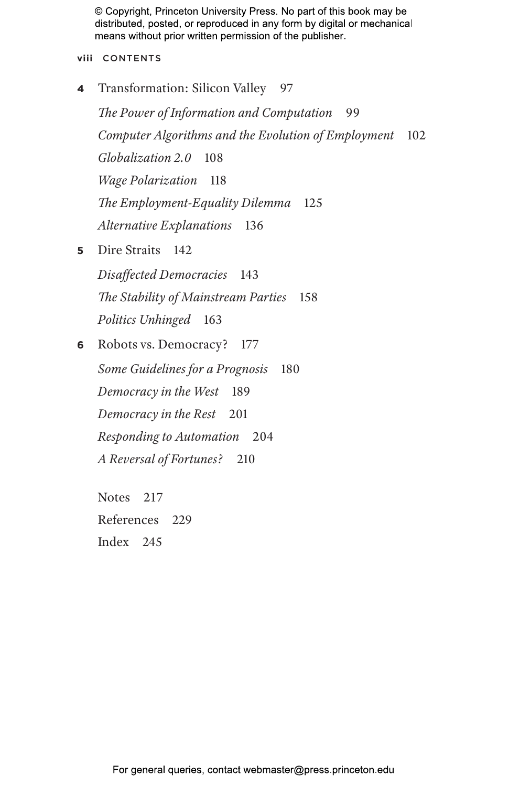**viii** contents

**4** Transformation: Silicon Valley 97 *The Power of Information and Computation* 99 *Computer Algorithms and the Evolution of Employment* 102 *Globalization 2.0* 108 *Wage Polarization* 118 *The Employment-Equality Dilemma* 125 *Alternative Explanations* 136

**5** Dire Straits 142

*Disaffected Democracies* 143 *The Stability of Mainstream Parties* 158 *Politics Unhinged* 163

**6** Robots vs. Democracy? 177 *Some Guidelines for a Prognosis* 180 *Democracy in the West* 189 *Democracy in the Rest* 201 *Responding to Automation* 204 *A Reversal of Fortunes?* 210

Notes 217 References 229 Index 245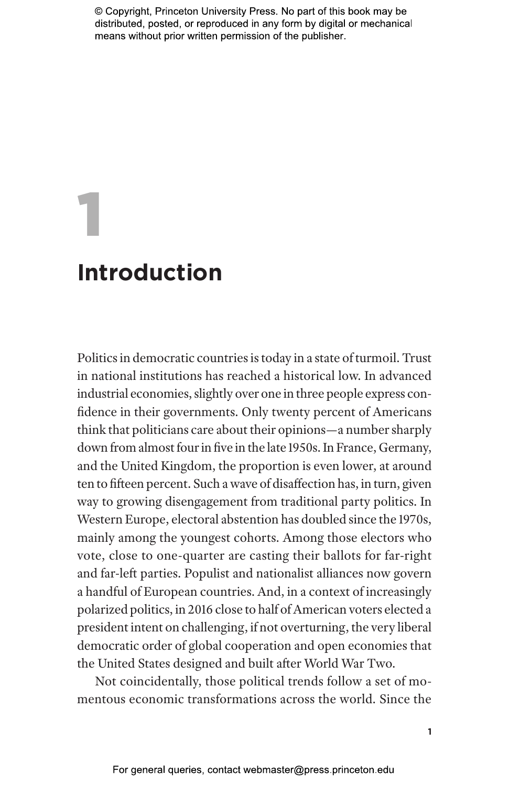# **Introduction**

1

Politics in democratic countries is today in a state of turmoil. Trust in national institutions has reached a historical low. In advanced industrial economies, slightly over one in three people express confidence in their governments. Only twenty percent of Americans think that politicians care about their opinions—a number sharply down from almost four in five in the late 1950s. In France, Germany, and the United Kingdom, the proportion is even lower, at around ten to fifteen percent. Such a wave of disaffection has, in turn, given way to growing disengagement from traditional party politics. In Western Europe, electoral abstention has doubled since the 1970s, mainly among the youngest cohorts. Among those electors who vote, close to one-quarter are casting their ballots for far-right and far-left parties. Populist and nationalist alliances now govern a handful of European countries. And, in a context of increasingly polarized politics, in 2016 close to half of American voters elected a president intent on challenging, if not overturning, the very liberal democratic order of global cooperation and open economies that the United States designed and built after World War Two.

Not coincidentally, those political trends follow a set of momentous economic transformations across the world. Since the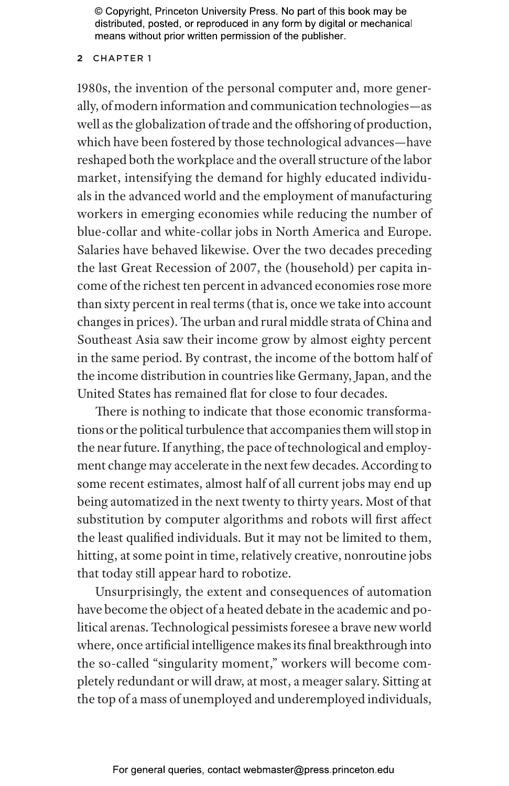**2** chapter 1

1980s, the invention of the personal computer and, more generally, of modern information and communication technologies—as well as the globalization of trade and the offshoring of production, which have been fostered by those technological advances—have reshaped both the workplace and the overall structure of the labor market, intensifying the demand for highly educated individuals in the advanced world and the employment of manufacturing workers in emerging economies while reducing the number of blue-collar and white-collar jobs in North America and Europe. Salaries have behaved likewise. Over the two decades preceding the last Great Recession of 2007, the (household) per capita income of the richest ten percent in advanced economies rose more than sixty percent in real terms (that is, once we take into account changes in prices). The urban and rural middle strata of China and Southeast Asia saw their income grow by almost eighty percent in the same period. By contrast, the income of the bottom half of the income distribution in countries like Germany, Japan, and the United States has remained flat for close to four decades.

There is nothing to indicate that those economic transformations or the political turbulence that accompanies them will stop in the near future. If anything, the pace of technological and employment change may accelerate in the next few decades. According to some recent estimates, almost half of all current jobs may end up being automatized in the next twenty to thirty years. Most of that substitution by computer algorithms and robots will first affect the least qualified individuals. But it may not be limited to them, hitting, at some point in time, relatively creative, nonroutine jobs that today still appear hard to robotize.

Unsurprisingly, the extent and consequences of automation have become the object of a heated debate in the academic and political arenas. Technological pessimists foresee a brave new world where, once artificial intelligence makes its final breakthrough into the so-called "singularity moment," workers will become completely redundant or will draw, at most, a meager salary. Sitting at the top of a mass of unemployed and underemployed individuals,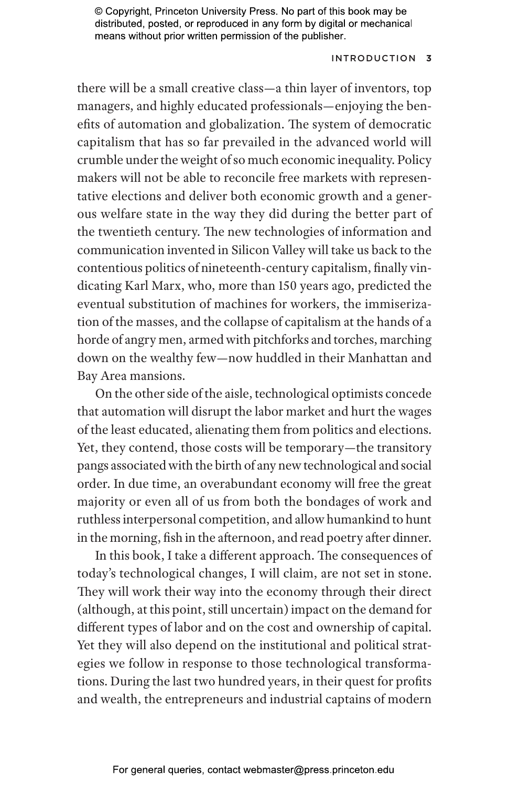## introduction **3**

there will be a small creative class—a thin layer of inventors, top managers, and highly educated professionals—enjoying the benefits of automation and globalization. The system of democratic capitalism that has so far prevailed in the advanced world will crumble under the weight of so much economic inequality. Policy makers will not be able to reconcile free markets with representative elections and deliver both economic growth and a generous welfare state in the way they did during the better part of the twentieth century. The new technologies of information and communication invented in Silicon Valley will take us back to the contentious politics of nineteenth-century capitalism, finally vindicating Karl Marx, who, more than 150 years ago, predicted the eventual substitution of machines for workers, the immiserization of the masses, and the collapse of capitalism at the hands of a horde of angry men, armed with pitchforks and torches, marching down on the wealthy few—now huddled in their Manhattan and Bay Area mansions.

On the other side of the aisle, technological optimists concede that automation will disrupt the labor market and hurt the wages of the least educated, alienating them from politics and elections. Yet, they contend, those costs will be temporary—the transitory pangs associated with the birth of any new technological and social order. In due time, an overabundant economy will free the great majority or even all of us from both the bondages of work and ruthless interpersonal competition, and allow humankind to hunt in the morning, fish in the afternoon, and read poetry after dinner.

In this book, I take a different approach. The consequences of today's technological changes, I will claim, are not set in stone. They will work their way into the economy through their direct (although, at this point, still uncertain) impact on the demand for different types of labor and on the cost and ownership of capital. Yet they will also depend on the institutional and political strategies we follow in response to those technological transformations. During the last two hundred years, in their quest for profits and wealth, the entrepreneurs and industrial captains of modern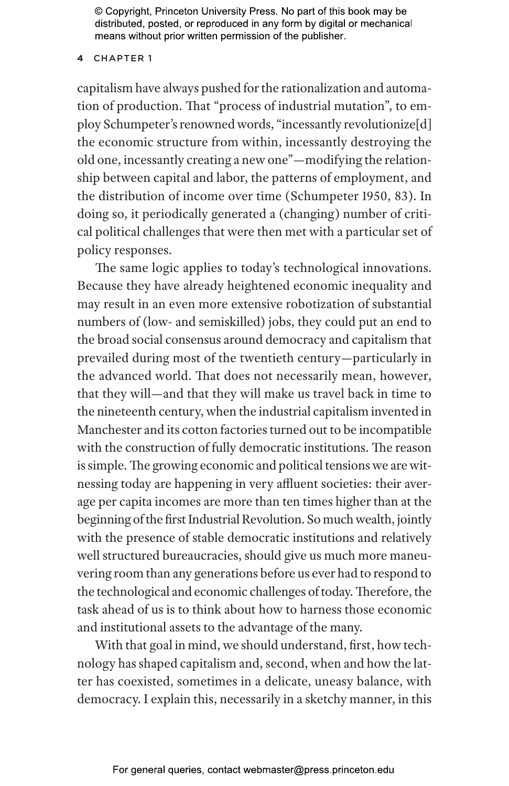**4** chapter 1

capitalism have always pushed for the rationalization and automation of production. That "process of industrial mutation", to employ Schumpeter's renowned words, "incessantly revolutionize[d] the economic structure from within, incessantly destroying the old one, incessantly creating a new one"—modifying the relationship between capital and labor, the patterns of employment, and the distribution of income over time (Schumpeter 1950, 83). In doing so, it periodically generated a (changing) number of critical political challenges that were then met with a particular set of policy responses.

The same logic applies to today's technological innovations. Because they have already heightened economic inequality and may result in an even more extensive robotization of substantial numbers of (low- and semiskilled) jobs, they could put an end to the broad social consensus around democracy and capitalism that prevailed during most of the twentieth century—particularly in the advanced world. That does not necessarily mean, however, that they will—and that they will make us travel back in time to the nineteenth century, when the industrial capitalism invented in Manchester and its cotton factories turned out to be incompatible with the construction of fully democratic institutions. The reason is simple. The growing economic and political tensions we are witnessing today are happening in very affluent societies: their average per capita incomes are more than ten times higher than at the beginning of the first Industrial Revolution. So much wealth, jointly with the presence of stable democratic institutions and relatively well structured bureaucracies, should give us much more maneuvering room than any generations before us ever had to respond to the technological and economic challenges of today. Therefore, the task ahead of us is to think about how to harness those economic and institutional assets to the advantage of the many.

With that goal in mind, we should understand, first, how technology has shaped capitalism and, second, when and how the latter has coexisted, sometimes in a delicate, uneasy balance, with democracy. I explain this, necessarily in a sketchy manner, in this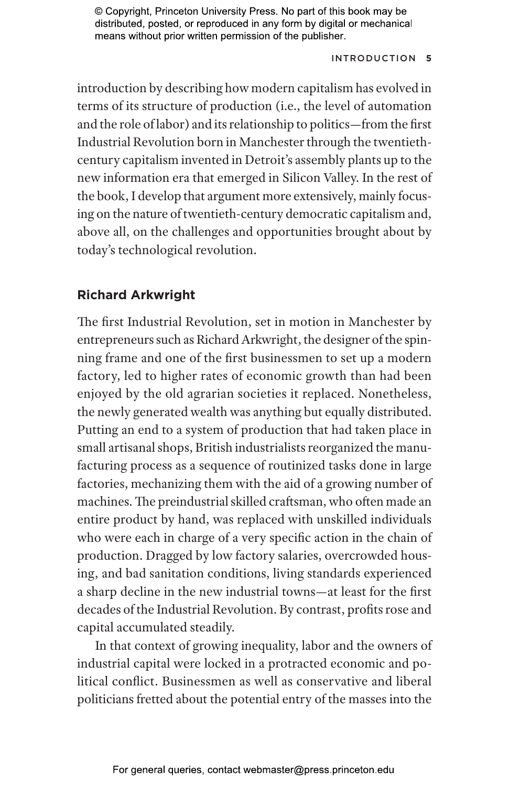## introduction **5**

introduction by describing how modern capitalism has evolved in terms of its structure of production (i.e., the level of automation and the role of labor) and its relationship to politics—from the first Industrial Revolution born in Manchester through the twentiethcentury capitalism invented in Detroit's assembly plants up to the new information era that emerged in Silicon Valley. In the rest of the book, I develop that argument more extensively, mainly focusing on the nature of twentieth-century democratic capitalism and, above all, on the challenges and opportunities brought about by today's technological revolution.

# **Richard Arkwright**

The first Industrial Revolution, set in motion in Manchester by entrepreneurs such as Richard Arkwright, the designer of the spinning frame and one of the first businessmen to set up a modern factory, led to higher rates of economic growth than had been enjoyed by the old agrarian societies it replaced. Nonetheless, the newly generated wealth was anything but equally distributed. Putting an end to a system of production that had taken place in small artisanal shops, British industrialists reorganized the manufacturing process as a sequence of routinized tasks done in large factories, mechanizing them with the aid of a growing number of machines. The preindustrial skilled craftsman, who often made an entire product by hand, was replaced with unskilled individuals who were each in charge of a very specific action in the chain of production. Dragged by low factory salaries, overcrowded housing, and bad sanitation conditions, living standards experienced a sharp decline in the new industrial towns—at least for the first decades of the Industrial Revolution. By contrast, profits rose and capital accumulated steadily.

In that context of growing inequality, labor and the owners of industrial capital were locked in a protracted economic and political conflict. Businessmen as well as conservative and liberal politicians fretted about the potential entry of the masses into the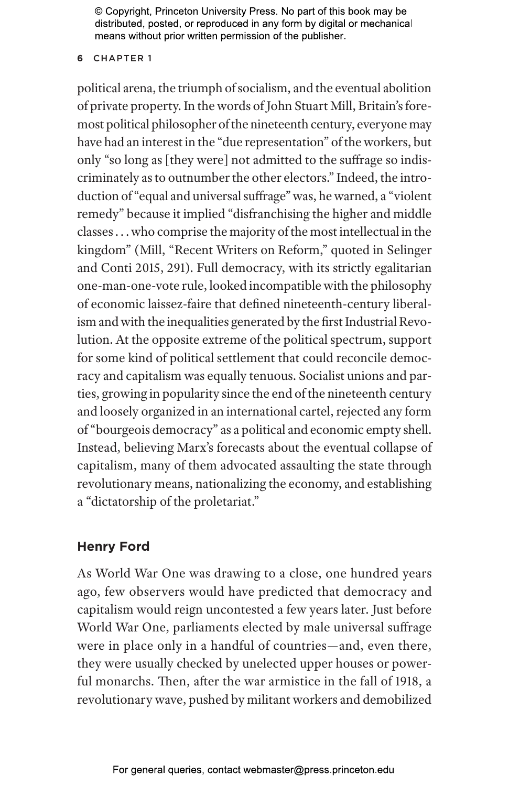**6** chapter 1

political arena, the triumph of socialism, and the eventual abolition of private property. In the words of John Stuart Mill, Britain's foremost political philosopher of the nineteenth century, everyone may have had an interest in the "due representation" of the workers, but only "so long as [they were] not admitted to the suffrage so indiscriminately as to outnumber the other electors." Indeed, the introduction of "equal and universal suffrage" was, he warned, a "violent remedy" because it implied "disfranchising the higher and middle classes . . . who comprise the majority of the most intellectual in the kingdom" (Mill, "Recent Writers on Reform," quoted in Selinger and Conti 2015, 291). Full democracy, with its strictly egalitarian one-man-one-vote rule, looked incompatible with the philosophy of economic laissez-faire that defined nineteenth-century liberalism and with the inequalities generated by the first Industrial Revolution. At the opposite extreme of the political spectrum, support for some kind of political settlement that could reconcile democracy and capitalism was equally tenuous. Socialist unions and parties, growing in popularity since the end of the nineteenth century and loosely organized in an international cartel, rejected any form of "bourgeois democracy" as a political and economic empty shell. Instead, believing Marx's forecasts about the eventual collapse of capitalism, many of them advocated assaulting the state through revolutionary means, nationalizing the economy, and establishing a "dictatorship of the proletariat."

# **Henry Ford**

As World War One was drawing to a close, one hundred years ago, few observers would have predicted that democracy and capitalism would reign uncontested a few years later. Just before World War One, parliaments elected by male universal suffrage were in place only in a handful of countries—and, even there, they were usually checked by unelected upper houses or powerful monarchs. Then, after the war armistice in the fall of 1918, a revolutionary wave, pushed by militant workers and demobilized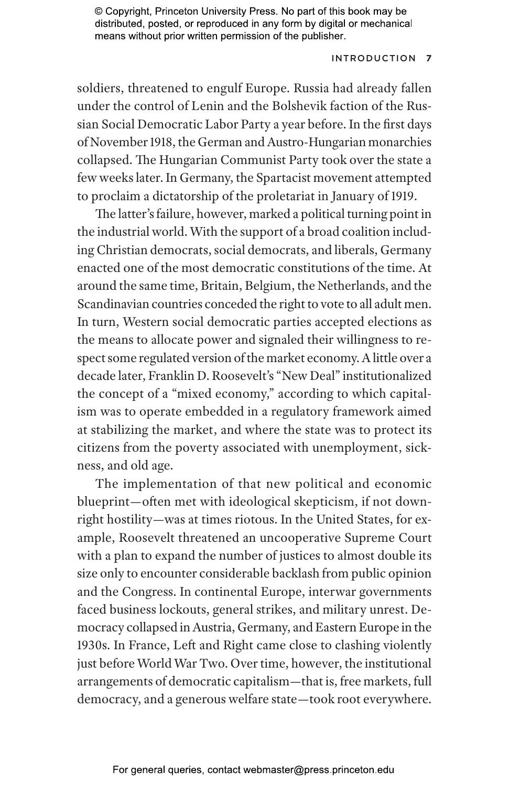## introduction **7**

soldiers, threatened to engulf Europe. Russia had already fallen under the control of Lenin and the Bolshevik faction of the Russian Social Democratic Labor Party a year before. In the first days of November 1918, the German and Austro-Hungarian monarchies collapsed. The Hungarian Communist Party took over the state a few weeks later. In Germany, the Spartacist movement attempted to proclaim a dictatorship of the proletariat in January of 1919.

The latter's failure, however, marked a political turning point in the industrial world. With the support of a broad coalition including Christian democrats, social democrats, and liberals, Germany enacted one of the most democratic constitutions of the time. At around the same time, Britain, Belgium, the Netherlands, and the Scandinavian countries conceded the right to vote to all adult men. In turn, Western social democratic parties accepted elections as the means to allocate power and signaled their willingness to respect some regulated version of the market economy. A little over a decade later, Franklin D. Roosevelt's "New Deal" institutionalized the concept of a "mixed economy," according to which capitalism was to operate embedded in a regulatory framework aimed at stabilizing the market, and where the state was to protect its citizens from the poverty associated with unemployment, sickness, and old age.

The implementation of that new political and economic blueprint—often met with ideological skepticism, if not downright hostility—was at times riotous. In the United States, for example, Roosevelt threatened an uncooperative Supreme Court with a plan to expand the number of justices to almost double its size only to encounter considerable backlash from public opinion and the Congress. In continental Europe, interwar governments faced business lockouts, general strikes, and military unrest. Democracy collapsed in Austria, Germany, and Eastern Europe in the 1930s. In France, Left and Right came close to clashing violently just before World War Two. Over time, however, the institutional arrangements of democratic capitalism—that is, free markets, full democracy, and a generous welfare state—took root everywhere.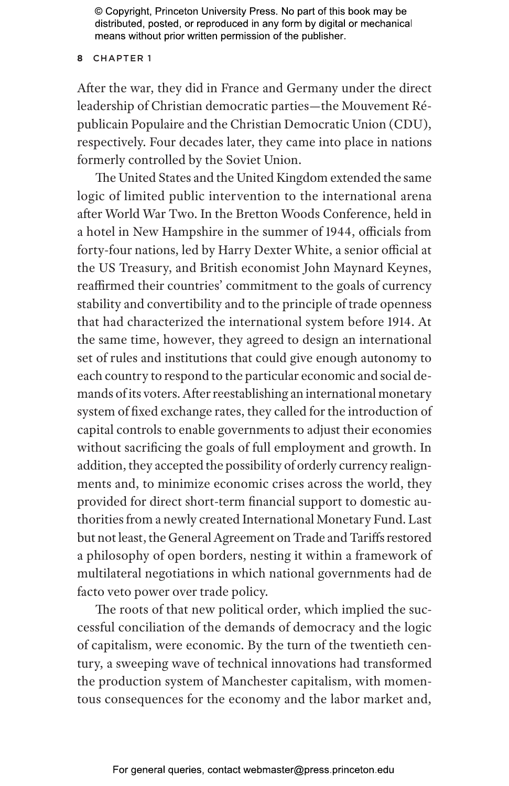**8** chapter 1

After the war, they did in France and Germany under the direct leadership of Christian democratic parties—the Mouvement Républicain Populaire and the Christian Democratic Union (CDU), respectively. Four decades later, they came into place in nations formerly controlled by the Soviet Union.

The United States and the United Kingdom extended the same logic of limited public intervention to the international arena after World War Two. In the Bretton Woods Conference, held in a hotel in New Hampshire in the summer of 1944, officials from forty-four nations, led by Harry Dexter White, a senior official at the US Treasury, and British economist John Maynard Keynes, reaffirmed their countries' commitment to the goals of currency stability and convertibility and to the principle of trade openness that had characterized the international system before 1914. At the same time, however, they agreed to design an international set of rules and institutions that could give enough autonomy to each country to respond to the particular economic and social demands of its voters. After reestablishing an international monetary system of fixed exchange rates, they called for the introduction of capital controls to enable governments to adjust their economies without sacrificing the goals of full employment and growth. In addition, they accepted the possibility of orderly currency realignments and, to minimize economic crises across the world, they provided for direct short-term financial support to domestic authorities from a newly created International Monetary Fund. Last but not least, the General Agreement on Trade and Tariffs restored a philosophy of open borders, nesting it within a framework of multilateral negotiations in which national governments had de facto veto power over trade policy.

The roots of that new political order, which implied the successful conciliation of the demands of democracy and the logic of capitalism, were economic. By the turn of the twentieth century, a sweeping wave of technical innovations had transformed the production system of Manchester capitalism, with momentous consequences for the economy and the labor market and,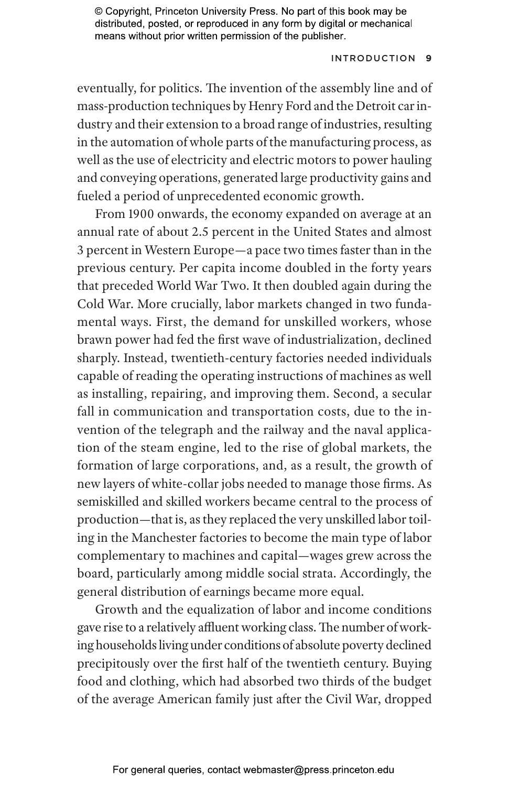#### introduction **9**

eventually, for politics. The invention of the assembly line and of mass-production techniques by Henry Ford and the Detroit car industry and their extension to a broad range of industries, resulting in the automation of whole parts of the manufacturing process, as well as the use of electricity and electric motors to power hauling and conveying operations, generated large productivity gains and fueled a period of unprecedented economic growth.

From 1900 onwards, the economy expanded on average at an annual rate of about 2.5 percent in the United States and almost 3 percent in Western Europe—a pace two times faster than in the previous century. Per capita income doubled in the forty years that preceded World War Two. It then doubled again during the Cold War. More crucially, labor markets changed in two fundamental ways. First, the demand for unskilled workers, whose brawn power had fed the first wave of industrialization, declined sharply. Instead, twentieth-century factories needed individuals capable of reading the operating instructions of machines as well as installing, repairing, and improving them. Second, a secular fall in communication and transportation costs, due to the invention of the telegraph and the railway and the naval application of the steam engine, led to the rise of global markets, the formation of large corporations, and, as a result, the growth of new layers of white-collar jobs needed to manage those firms. As semiskilled and skilled workers became central to the process of production—that is, as they replaced the very unskilled labor toiling in the Manchester factories to become the main type of labor complementary to machines and capital—wages grew across the board, particularly among middle social strata. Accordingly, the general distribution of earnings became more equal.

Growth and the equalization of labor and income conditions gave rise to a relatively affluent working class. The number of working households living under conditions of absolute poverty declined precipitously over the first half of the twentieth century. Buying food and clothing, which had absorbed two thirds of the budget of the average American family just after the Civil War, dropped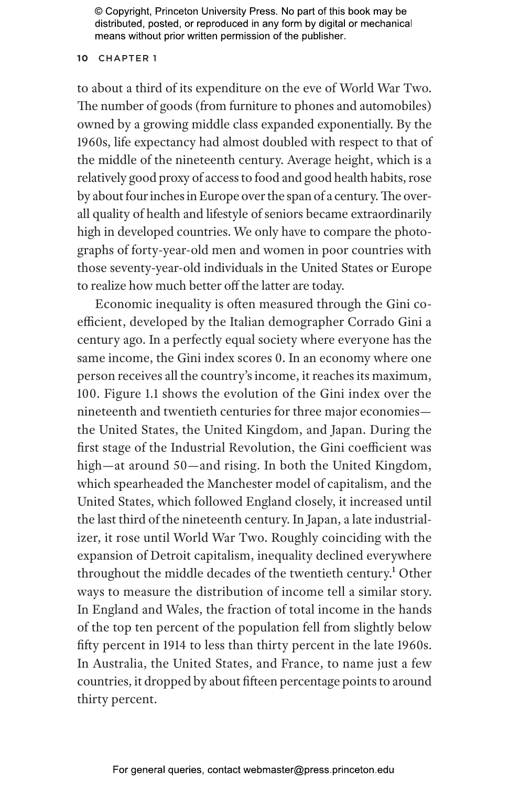### **10** chapter 1

to about a third of its expenditure on the eve of World War Two. The number of goods (from furniture to phones and automobiles) owned by a growing middle class expanded exponentially. By the 1960s, life expectancy had almost doubled with respect to that of the middle of the nineteenth century. Average height, which is a relatively good proxy of access to food and good health habits, rose by about four inches in Europe over the span of a century. The overall quality of health and lifestyle of seniors became extraordinarily high in developed countries. We only have to compare the photographs of forty-year-old men and women in poor countries with those seventy-year-old individuals in the United States or Europe to realize how much better off the latter are today.

Economic inequality is often measured through the Gini coefficient, developed by the Italian demographer Corrado Gini a century ago. In a perfectly equal society where everyone has the same income, the Gini index scores 0. In an economy where one person receives all the country's income, it reaches its maximum, 100. Figure 1.1 shows the evolution of the Gini index over the nineteenth and twentieth centuries for three major economies the United States, the United Kingdom, and Japan. During the first stage of the Industrial Revolution, the Gini coefficient was high—at around 50—and rising. In both the United Kingdom, which spearheaded the Manchester model of capitalism, and the United States, which followed England closely, it increased until the last third of the nineteenth century. In Japan, a late industrializer, it rose until World War Two. Roughly coinciding with the expansion of Detroit capitalism, inequality declined everywhere throughout the middle decades of the twentieth century.<sup>1</sup> Other ways to measure the distribution of income tell a similar story. In England and Wales, the fraction of total income in the hands of the top ten percent of the population fell from slightly below fifty percent in 1914 to less than thirty percent in the late 1960s. In Australia, the United States, and France, to name just a few countries, it dropped by about fifteen percentage points to around thirty percent.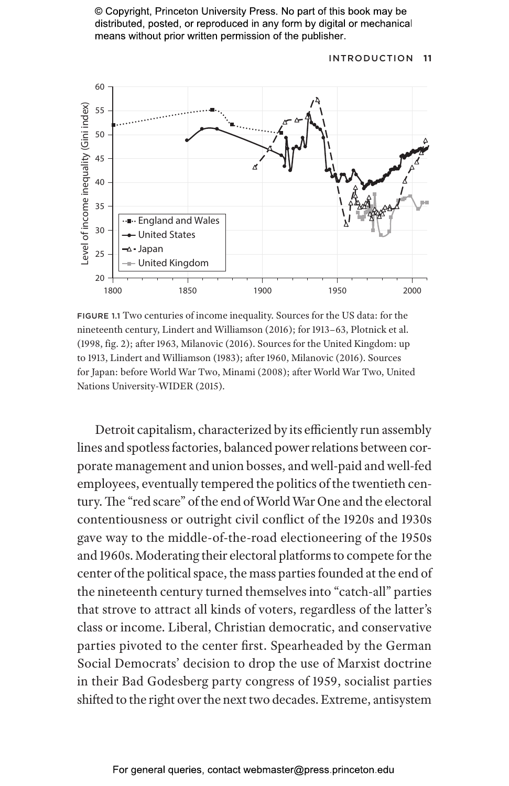#### introduction **11**



FIGURE 1.1 Two centuries of income inequality. Sources for the US data: for the nineteenth century, Lindert and Williamson (2016); for 1913–63, Plotnick et al. (1998, fig. 2); after 1963, Milanovic (2016). Sources for the United Kingdom: up to 1913, Lindert and Williamson (1983); after 1960, Milanovic (2016). Sources for Japan: before World War Two, Minami (2008); after World War Two, United Nations University-WIDER (2015).

Detroit capitalism, characterized by its efficiently run assembly lines and spotless factories, balanced power relations between corporate management and union bosses, and well-paid and well-fed employees, eventually tempered the politics of the twentieth century. The "red scare" of the end of World War One and the electoral contentiousness or outright civil conflict of the 1920s and 1930s gave way to the middle-of-the-road electioneering of the 1950s and 1960s. Moderating their electoral platforms to compete for the center of the political space, the mass parties founded at the end of the nineteenth century turned themselves into "catch-all" parties that strove to attract all kinds of voters, regardless of the latter's class or income. Liberal, Christian democratic, and conservative parties pivoted to the center first. Spearheaded by the German Social Democrats' decision to drop the use of Marxist doctrine in their Bad Godesberg party congress of 1959, socialist parties shifted to the right over the next two decades. Extreme, antisystem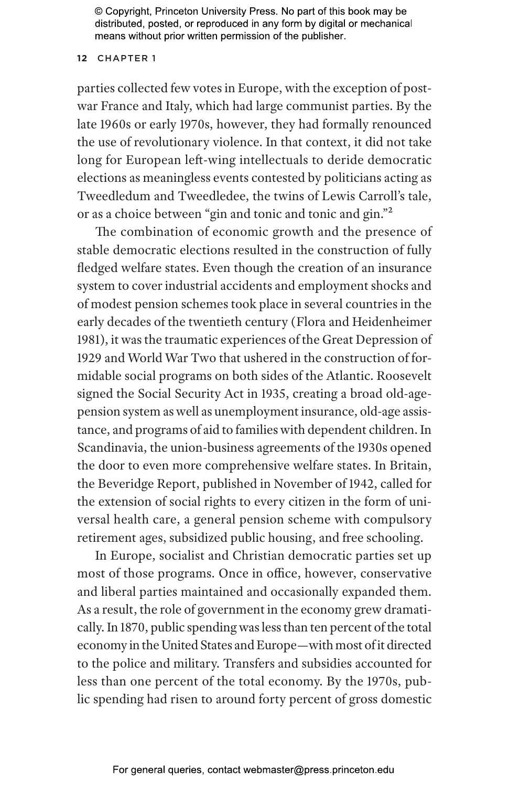#### **12** chapter 1

parties collected few votes in Europe, with the exception of postwar France and Italy, which had large communist parties. By the late 1960s or early 1970s, however, they had formally renounced the use of revolutionary violence. In that context, it did not take long for European left-wing intellectuals to deride democratic elections as meaningless events contested by politicians acting as Tweedledum and Tweedledee, the twins of Lewis Carroll's tale, or as a choice between "gin and tonic and tonic and gin."2

The combination of economic growth and the presence of stable democratic elections resulted in the construction of fully fledged welfare states. Even though the creation of an insurance system to cover industrial accidents and employment shocks and of modest pension schemes took place in several countries in the early decades of the twentieth century (Flora and Heidenheimer 1981), it was the traumatic experiences of the Great Depression of 1929 and World War Two that ushered in the construction of formidable social programs on both sides of the Atlantic. Roosevelt signed the Social Security Act in 1935, creating a broad old-agepension system as well as unemployment insurance, old-age assistance, and programs of aid to families with dependent children. In Scandinavia, the union-business agreements of the 1930s opened the door to even more comprehensive welfare states. In Britain, the Beveridge Report, published in November of 1942, called for the extension of social rights to every citizen in the form of universal health care, a general pension scheme with compulsory retirement ages, subsidized public housing, and free schooling.

In Europe, socialist and Christian democratic parties set up most of those programs. Once in office, however, conservative and liberal parties maintained and occasionally expanded them. As a result, the role of government in the economy grew dramatically. In 1870, public spending was less than ten percent of the total economy in the United States and Europe—with most of it directed to the police and military. Transfers and subsidies accounted for less than one percent of the total economy. By the 1970s, public spending had risen to around forty percent of gross domestic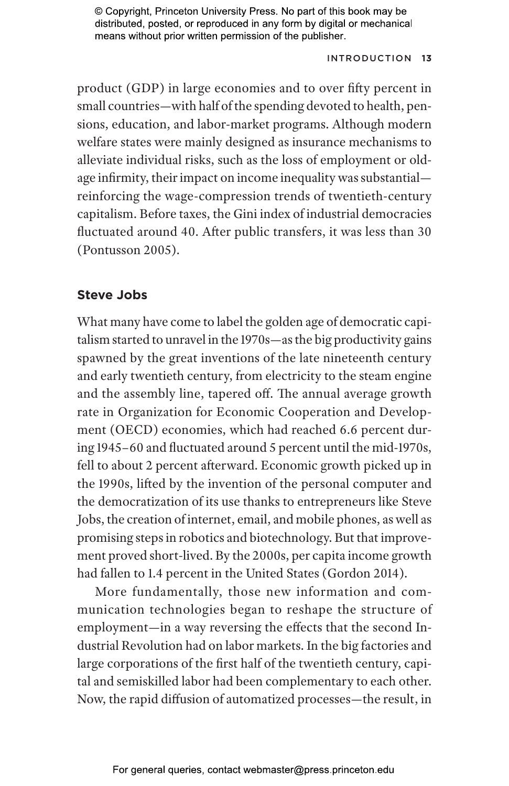## introduction **13**

product (GDP) in large economies and to over fifty percent in small countries—with half of the spending devoted to health, pensions, education, and labor-market programs. Although modern welfare states were mainly designed as insurance mechanisms to alleviate individual risks, such as the loss of employment or oldage infirmity, their impact on income inequality was substantial reinforcing the wage-compression trends of twentieth-century capitalism. Before taxes, the Gini index of industrial democracies fluctuated around 40. After public transfers, it was less than 30 (Pontusson 2005).

## **Steve Jobs**

What many have come to label the golden age of democratic capitalism started to unravel in the 1970s—as the big productivity gains spawned by the great inventions of the late nineteenth century and early twentieth century, from electricity to the steam engine and the assembly line, tapered off. The annual average growth rate in Organization for Economic Cooperation and Development (OECD) economies, which had reached 6.6 percent during 1945–60 and fluctuated around 5 percent until the mid-1970s, fell to about 2 percent afterward. Economic growth picked up in the 1990s, lifted by the invention of the personal computer and the democratization of its use thanks to entrepreneurs like Steve Jobs, the creation of internet, email, and mobile phones, as well as promising steps in robotics and biotechnology. But that improvement proved short-lived. By the 2000s, per capita income growth had fallen to 1.4 percent in the United States (Gordon 2014).

More fundamentally, those new information and communication technologies began to reshape the structure of employment—in a way reversing the effects that the second Industrial Revolution had on labor markets. In the big factories and large corporations of the first half of the twentieth century, capital and semiskilled labor had been complementary to each other. Now, the rapid diffusion of automatized processes—the result, in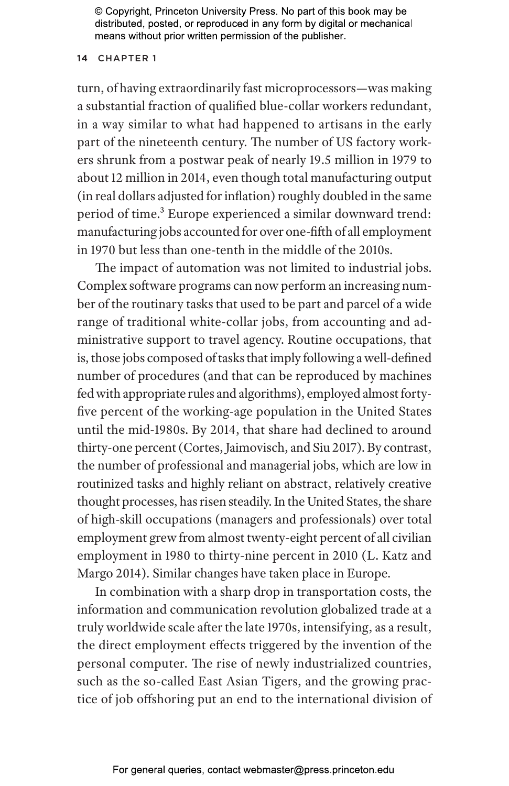#### **14** chapter 1

turn, of having extraordinarily fast microprocessors—was making a substantial fraction of qualified blue-collar workers redundant, in a way similar to what had happened to artisans in the early part of the nineteenth century. The number of US factory workers shrunk from a postwar peak of nearly 19.5 million in 1979 to about 12 million in 2014, even though total manufacturing output (in real dollars adjusted for inflation) roughly doubled in the same period of time.3 Europe experienced a similar downward trend: manufacturing jobs accounted for over one-fifth of all employment in 1970 but less than one-tenth in the middle of the 2010s.

The impact of automation was not limited to industrial jobs. Complex software programs can now perform an increasing number of the routinary tasks that used to be part and parcel of a wide range of traditional white-collar jobs, from accounting and administrative support to travel agency. Routine occupations, that is, those jobs composed of tasks that imply following a well-defined number of procedures (and that can be reproduced by machines fed with appropriate rules and algorithms), employed almost fortyfive percent of the working-age population in the United States until the mid-1980s. By 2014, that share had declined to around thirty-one percent (Cortes, Jaimovisch, and Siu 2017). By contrast, the number of professional and managerial jobs, which are low in routinized tasks and highly reliant on abstract, relatively creative thought processes, has risen steadily. In the United States, the share of high-skill occupations (managers and professionals) over total employment grew from almost twenty-eight percent of all civilian employment in 1980 to thirty-nine percent in 2010 (L. Katz and Margo 2014). Similar changes have taken place in Europe.

In combination with a sharp drop in transportation costs, the information and communication revolution globalized trade at a truly worldwide scale after the late 1970s, intensifying, as a result, the direct employment effects triggered by the invention of the personal computer. The rise of newly industrialized countries, such as the so-called East Asian Tigers, and the growing practice of job offshoring put an end to the international division of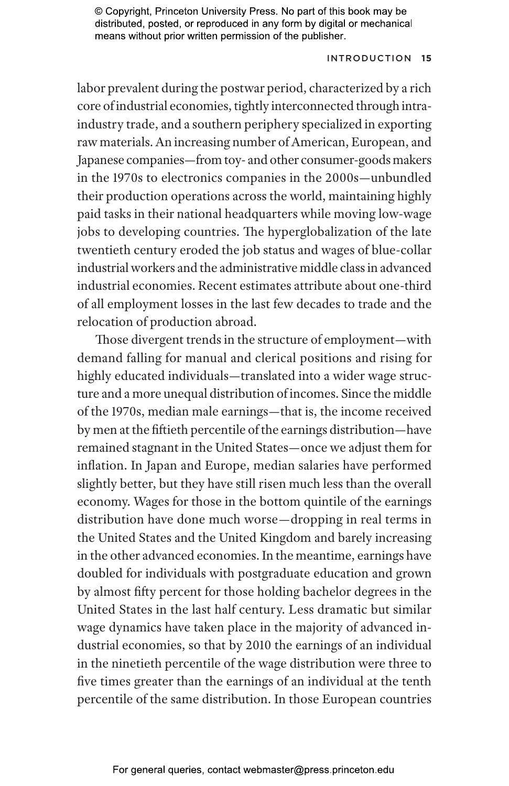#### introduction **15**

labor prevalent during the postwar period, characterized by a rich core of industrial economies, tightly interconnected through intraindustry trade, and a southern periphery specialized in exporting raw materials. An increasing number of American, European, and Japanese companies—from toy- and other consumer-goods makers in the 1970s to electronics companies in the 2000s—unbundled their production operations across the world, maintaining highly paid tasks in their national headquarters while moving low-wage jobs to developing countries. The hyperglobalization of the late twentieth century eroded the job status and wages of blue-collar industrial workers and the administrative middle class in advanced industrial economies. Recent estimates attribute about one-third of all employment losses in the last few decades to trade and the relocation of production abroad.

Those divergent trends in the structure of employment—with demand falling for manual and clerical positions and rising for highly educated individuals—translated into a wider wage structure and a more unequal distribution of incomes. Since the middle of the 1970s, median male earnings—that is, the income received by men at the fiftieth percentile of the earnings distribution—have remained stagnant in the United States—once we adjust them for inflation. In Japan and Europe, median salaries have performed slightly better, but they have still risen much less than the overall economy. Wages for those in the bottom quintile of the earnings distribution have done much worse—dropping in real terms in the United States and the United Kingdom and barely increasing in the other advanced economies. In the meantime, earnings have doubled for individuals with postgraduate education and grown by almost fifty percent for those holding bachelor degrees in the United States in the last half century. Less dramatic but similar wage dynamics have taken place in the majority of advanced industrial economies, so that by 2010 the earnings of an individual in the ninetieth percentile of the wage distribution were three to five times greater than the earnings of an individual at the tenth percentile of the same distribution. In those European countries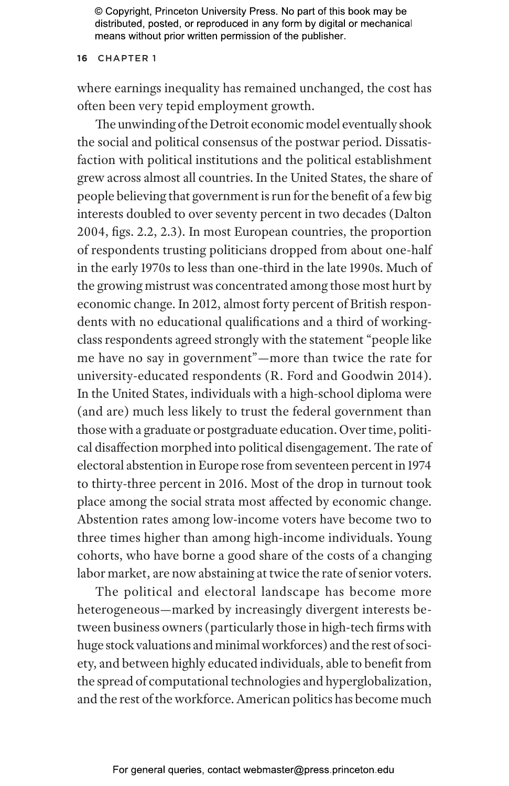#### **16** chapter 1

where earnings inequality has remained unchanged, the cost has often been very tepid employment growth.

The unwinding of the Detroit economic model eventually shook the social and political consensus of the postwar period. Dissatisfaction with political institutions and the political establishment grew across almost all countries. In the United States, the share of people believing that government is run for the benefit of a few big interests doubled to over seventy percent in two decades (Dalton 2004, figs. 2.2, 2.3). In most European countries, the proportion of respondents trusting politicians dropped from about one-half in the early 1970s to less than one-third in the late 1990s. Much of the growing mistrust was concentrated among those most hurt by economic change. In 2012, almost forty percent of British respondents with no educational qualifications and a third of workingclass respondents agreed strongly with the statement "people like me have no say in government"—more than twice the rate for university-educated respondents (R. Ford and Goodwin 2014). In the United States, individuals with a high-school diploma were (and are) much less likely to trust the federal government than those with a graduate or postgraduate education. Over time, political disaffection morphed into political disengagement. The rate of electoral abstention in Europe rose from seventeen percent in 1974 to thirty-three percent in 2016. Most of the drop in turnout took place among the social strata most affected by economic change. Abstention rates among low-income voters have become two to three times higher than among high-income individuals. Young cohorts, who have borne a good share of the costs of a changing labor market, are now abstaining at twice the rate of senior voters.

The political and electoral landscape has become more heterogeneous—marked by increasingly divergent interests between business owners (particularly those in high-tech firms with huge stock valuations and minimal workforces) and the rest of society, and between highly educated individuals, able to benefit from the spread of computational technologies and hyperglobalization, and the rest of the workforce. American politics has become much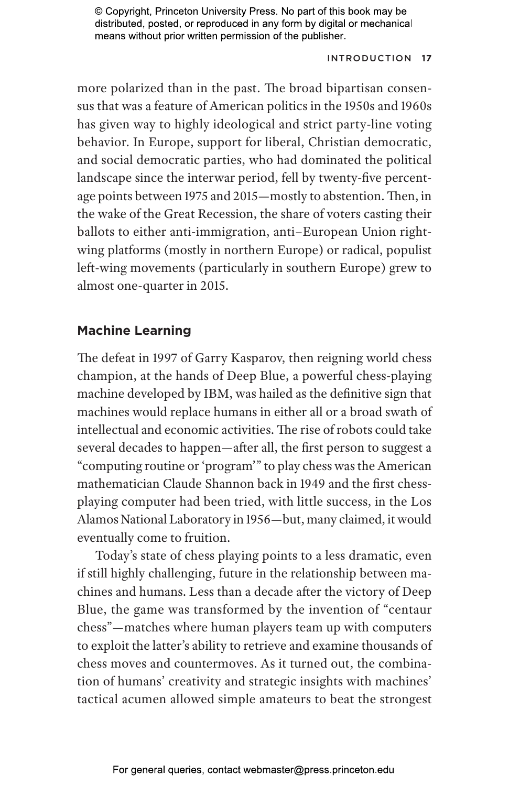## introduction **17**

more polarized than in the past. The broad bipartisan consensus that was a feature of American politics in the 1950s and 1960s has given way to highly ideological and strict party-line voting behavior. In Europe, support for liberal, Christian democratic, and social democratic parties, who had dominated the political landscape since the interwar period, fell by twenty-five percentage points between 1975 and 2015—mostly to abstention. Then, in the wake of the Great Recession, the share of voters casting their ballots to either anti-immigration, anti–European Union rightwing platforms (mostly in northern Europe) or radical, populist left-wing movements (particularly in southern Europe) grew to almost one-quarter in 2015.

# **Machine Learning**

The defeat in 1997 of Garry Kasparov, then reigning world chess champion, at the hands of Deep Blue, a powerful chess-playing machine developed by IBM, was hailed as the definitive sign that machines would replace humans in either all or a broad swath of intellectual and economic activities. The rise of robots could take several decades to happen—after all, the first person to suggest a "computing routine or 'program'" to play chess was the American mathematician Claude Shannon back in 1949 and the first chessplaying computer had been tried, with little success, in the Los Alamos National Laboratory in 1956—but, many claimed, it would eventually come to fruition.

Today's state of chess playing points to a less dramatic, even if still highly challenging, future in the relationship between machines and humans. Less than a decade after the victory of Deep Blue, the game was transformed by the invention of "centaur chess"—matches where human players team up with computers to exploit the latter's ability to retrieve and examine thousands of chess moves and countermoves. As it turned out, the combination of humans' creativity and strategic insights with machines' tactical acumen allowed simple amateurs to beat the strongest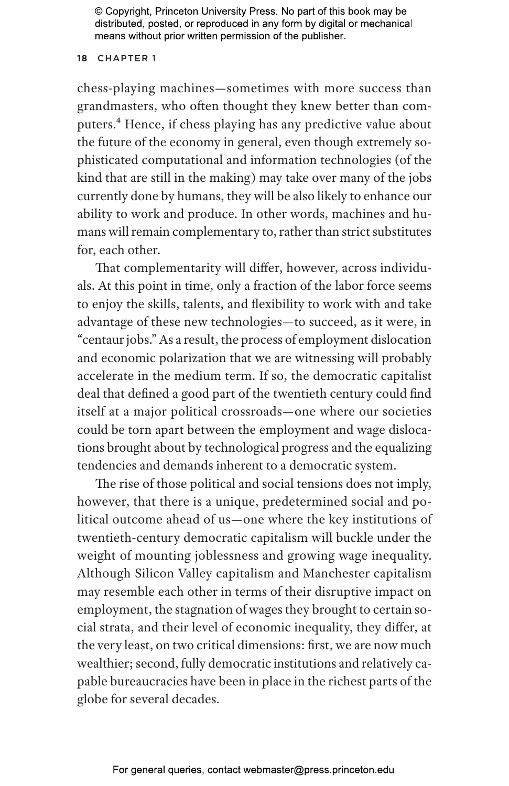#### **18** chapter 1

chess-playing machines—sometimes with more success than grandmasters, who often thought they knew better than computers.4 Hence, if chess playing has any predictive value about the future of the economy in general, even though extremely sophisticated computational and information technologies (of the kind that are still in the making) may take over many of the jobs currently done by humans, they will be also likely to enhance our ability to work and produce. In other words, machines and humans will remain complementary to, rather than strict substitutes for, each other.

That complementarity will differ, however, across individuals. At this point in time, only a fraction of the labor force seems to enjoy the skills, talents, and flexibility to work with and take advantage of these new technologies—to succeed, as it were, in "centaur jobs." As a result, the process of employment dislocation and economic polarization that we are witnessing will probably accelerate in the medium term. If so, the democratic capitalist deal that defined a good part of the twentieth century could find itself at a major political crossroads—one where our societies could be torn apart between the employment and wage dislocations brought about by technological progress and the equalizing tendencies and demands inherent to a democratic system.

The rise of those political and social tensions does not imply, however, that there is a unique, predetermined social and political outcome ahead of us—one where the key institutions of twentieth-century democratic capitalism will buckle under the weight of mounting joblessness and growing wage inequality. Although Silicon Valley capitalism and Manchester capitalism may resemble each other in terms of their disruptive impact on employment, the stagnation of wages they brought to certain social strata, and their level of economic inequality, they differ, at the very least, on two critical dimensions: first, we are now much wealthier; second, fully democratic institutions and relatively capable bureaucracies have been in place in the richest parts of the globe for several decades.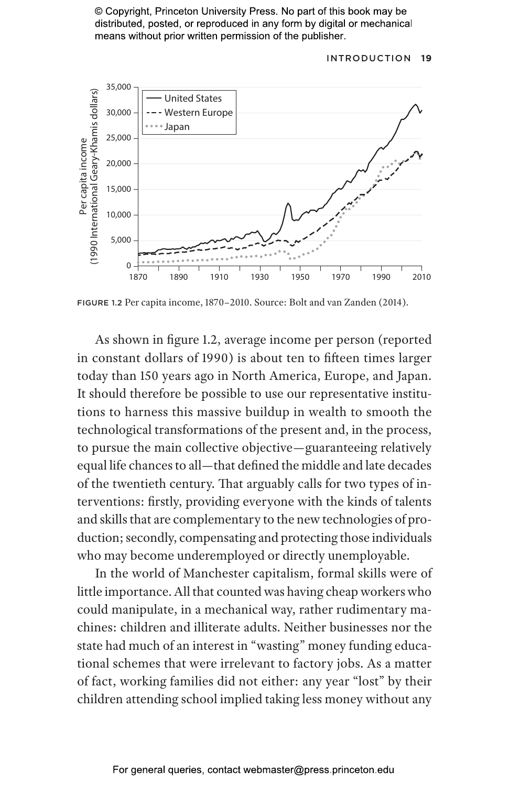#### introduction **19**



FIGURE 1.2 Per capita income, 1870–2010. Source: Bolt and van Zanden (2014).

As shown in figure 1.2, average income per person (reported in constant dollars of 1990) is about ten to fifteen times larger today than 150 years ago in North America, Europe, and Japan. It should therefore be possible to use our representative institutions to harness this massive buildup in wealth to smooth the technological transformations of the present and, in the process, to pursue the main collective objective—guaranteeing relatively equal life chances to all—that defined the middle and late decades of the twentieth century. That arguably calls for two types of interventions: firstly, providing everyone with the kinds of talents and skills that are complementary to the new technologies of production; secondly, compensating and protecting those individuals who may become underemployed or directly unemployable.

In the world of Manchester capitalism, formal skills were of little importance. All that counted was having cheap workers who could manipulate, in a mechanical way, rather rudimentary machines: children and illiterate adults. Neither businesses nor the state had much of an interest in "wasting" money funding educational schemes that were irrelevant to factory jobs. As a matter of fact, working families did not either: any year "lost" by their children attending school implied taking less money without any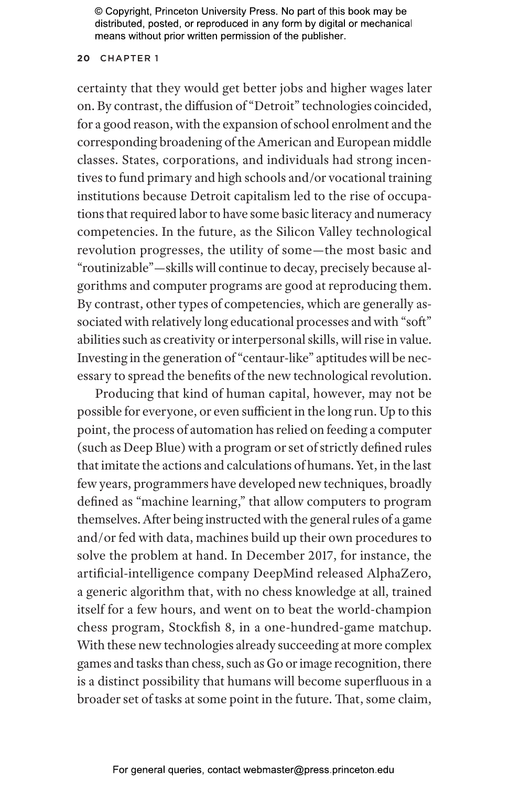#### **20** chapter 1

certainty that they would get better jobs and higher wages later on. By contrast, the diffusion of "Detroit" technologies coincided, for a good reason, with the expansion of school enrolment and the corresponding broadening of the American and European middle classes. States, corporations, and individuals had strong incentives to fund primary and high schools and/or vocational training institutions because Detroit capitalism led to the rise of occupations that required labor to have some basic literacy and numeracy competencies. In the future, as the Silicon Valley technological revolution progresses, the utility of some—the most basic and "routinizable"—skills will continue to decay, precisely because algorithms and computer programs are good at reproducing them. By contrast, other types of competencies, which are generally associated with relatively long educational processes and with "soft" abilities such as creativity or interpersonal skills, will rise in value. Investing in the generation of "centaur-like" aptitudes will be necessary to spread the benefits of the new technological revolution.

Producing that kind of human capital, however, may not be possible for everyone, or even sufficient in the long run. Up to this point, the process of automation has relied on feeding a computer (such as Deep Blue) with a program or set of strictly defined rules that imitate the actions and calculations of humans. Yet, in the last few years, programmers have developed new techniques, broadly defined as "machine learning," that allow computers to program themselves. After being instructed with the general rules of a game and/or fed with data, machines build up their own procedures to solve the problem at hand. In December 2017, for instance, the artificial-intelligence company DeepMind released AlphaZero, a generic algorithm that, with no chess knowledge at all, trained itself for a few hours, and went on to beat the world-champion chess program, Stockfish 8, in a one-hundred-game matchup. With these new technologies already succeeding at more complex games and tasks than chess, such as Go or image recognition, there is a distinct possibility that humans will become superfluous in a broader set of tasks at some point in the future. That, some claim,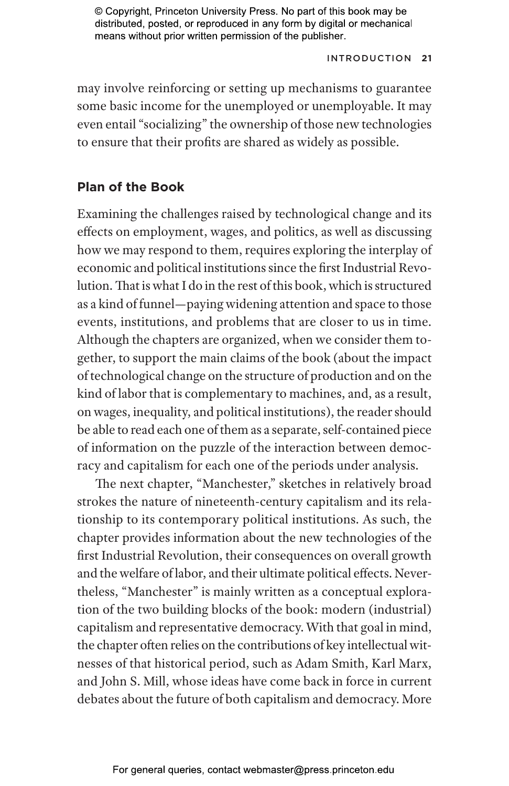## introduction **21**

may involve reinforcing or setting up mechanisms to guarantee some basic income for the unemployed or unemployable. It may even entail "socializing" the ownership of those new technologies to ensure that their profits are shared as widely as possible.

## **Plan of the Book**

Examining the challenges raised by technological change and its effects on employment, wages, and politics, as well as discussing how we may respond to them, requires exploring the interplay of economic and political institutions since the first Industrial Revolution. That is what I do in the rest of this book, which is structured as a kind of funnel—paying widening attention and space to those events, institutions, and problems that are closer to us in time. Although the chapters are organized, when we consider them together, to support the main claims of the book (about the impact of technological change on the structure of production and on the kind of labor that is complementary to machines, and, as a result, on wages, inequality, and political institutions), the reader should be able to read each one of them as a separate, self-contained piece of information on the puzzle of the interaction between democracy and capitalism for each one of the periods under analysis.

The next chapter, "Manchester," sketches in relatively broad strokes the nature of nineteenth-century capitalism and its relationship to its contemporary political institutions. As such, the chapter provides information about the new technologies of the first Industrial Revolution, their consequences on overall growth and the welfare of labor, and their ultimate political effects. Nevertheless, "Manchester" is mainly written as a conceptual exploration of the two building blocks of the book: modern (industrial) capitalism and representative democracy. With that goal in mind, the chapter often relies on the contributions of key intellectual witnesses of that historical period, such as Adam Smith, Karl Marx, and John S. Mill, whose ideas have come back in force in current debates about the future of both capitalism and democracy. More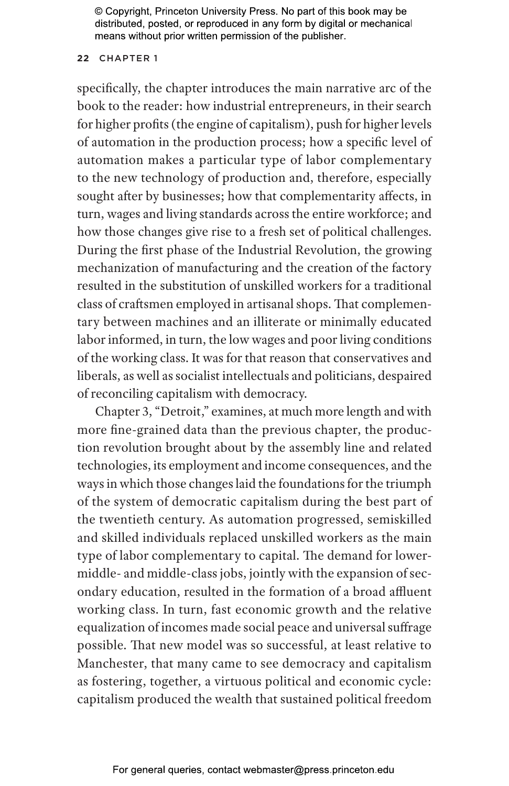#### **22** chapter 1

specifically, the chapter introduces the main narrative arc of the book to the reader: how industrial entrepreneurs, in their search for higher profits (the engine of capitalism), push for higher levels of automation in the production process; how a specific level of automation makes a particular type of labor complementary to the new technology of production and, therefore, especially sought after by businesses; how that complementarity affects, in turn, wages and living standards across the entire workforce; and how those changes give rise to a fresh set of political challenges. During the first phase of the Industrial Revolution, the growing mechanization of manufacturing and the creation of the factory resulted in the substitution of unskilled workers for a traditional class of craftsmen employed in artisanal shops. That complementary between machines and an illiterate or minimally educated labor informed, in turn, the low wages and poor living conditions of the working class. It was for that reason that conservatives and liberals, as well as socialist intellectuals and politicians, despaired of reconciling capitalism with democracy.

Chapter 3, "Detroit," examines, at much more length and with more fine-grained data than the previous chapter, the production revolution brought about by the assembly line and related technologies, its employment and income consequences, and the ways in which those changes laid the foundations for the triumph of the system of democratic capitalism during the best part of the twentieth century. As automation progressed, semiskilled and skilled individuals replaced unskilled workers as the main type of labor complementary to capital. The demand for lowermiddle- and middle-class jobs, jointly with the expansion of secondary education, resulted in the formation of a broad affluent working class. In turn, fast economic growth and the relative equalization of incomes made social peace and universal suffrage possible. That new model was so successful, at least relative to Manchester, that many came to see democracy and capitalism as fostering, together, a virtuous political and economic cycle: capitalism produced the wealth that sustained political freedom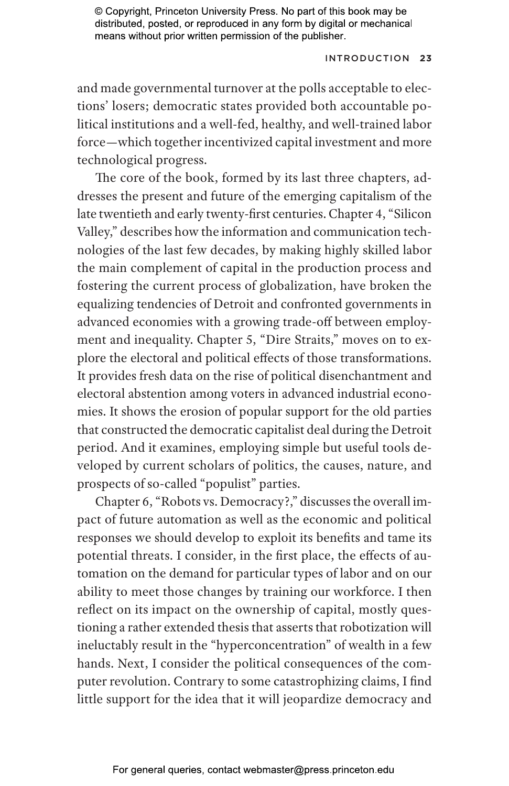## introduction **23**

and made governmental turnover at the polls acceptable to elections' losers; democratic states provided both accountable political institutions and a well-fed, healthy, and well-trained labor force—which together incentivized capital investment and more technological progress.

The core of the book, formed by its last three chapters, addresses the present and future of the emerging capitalism of the late twentieth and early twenty-first centuries. Chapter 4, "Silicon Valley," describes how the information and communication technologies of the last few decades, by making highly skilled labor the main complement of capital in the production process and fostering the current process of globalization, have broken the equalizing tendencies of Detroit and confronted governments in advanced economies with a growing trade-off between employment and inequality. Chapter 5, "Dire Straits," moves on to explore the electoral and political effects of those transformations. It provides fresh data on the rise of political disenchantment and electoral abstention among voters in advanced industrial economies. It shows the erosion of popular support for the old parties that constructed the democratic capitalist deal during the Detroit period. And it examines, employing simple but useful tools developed by current scholars of politics, the causes, nature, and prospects of so-called "populist" parties.

Chapter 6, "Robots vs. Democracy?," discusses the overall impact of future automation as well as the economic and political responses we should develop to exploit its benefits and tame its potential threats. I consider, in the first place, the effects of automation on the demand for particular types of labor and on our ability to meet those changes by training our workforce. I then reflect on its impact on the ownership of capital, mostly questioning a rather extended thesis that asserts that robotization will ineluctably result in the "hyperconcentration" of wealth in a few hands. Next, I consider the political consequences of the computer revolution. Contrary to some catastrophizing claims, I find little support for the idea that it will jeopardize democracy and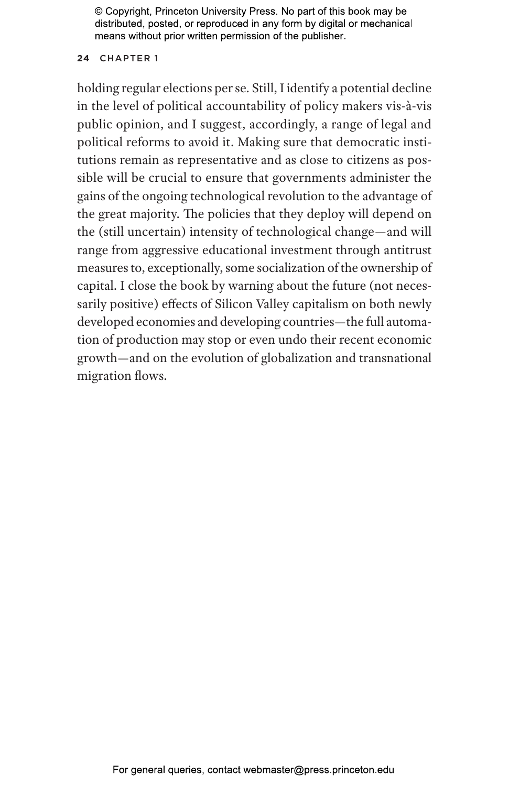#### **24** chapter 1

holding regular elections per se. Still, I identify a potential decline in the level of political accountability of policy makers vis-à-vis public opinion, and I suggest, accordingly, a range of legal and political reforms to avoid it. Making sure that democratic institutions remain as representative and as close to citizens as possible will be crucial to ensure that governments administer the gains of the ongoing technological revolution to the advantage of the great majority. The policies that they deploy will depend on the (still uncertain) intensity of technological change—and will range from aggressive educational investment through antitrust measures to, exceptionally, some socialization of the ownership of capital. I close the book by warning about the future (not necessarily positive) effects of Silicon Valley capitalism on both newly developed economies and developing countries—the full automation of production may stop or even undo their recent economic growth—and on the evolution of globalization and transnational migration flows.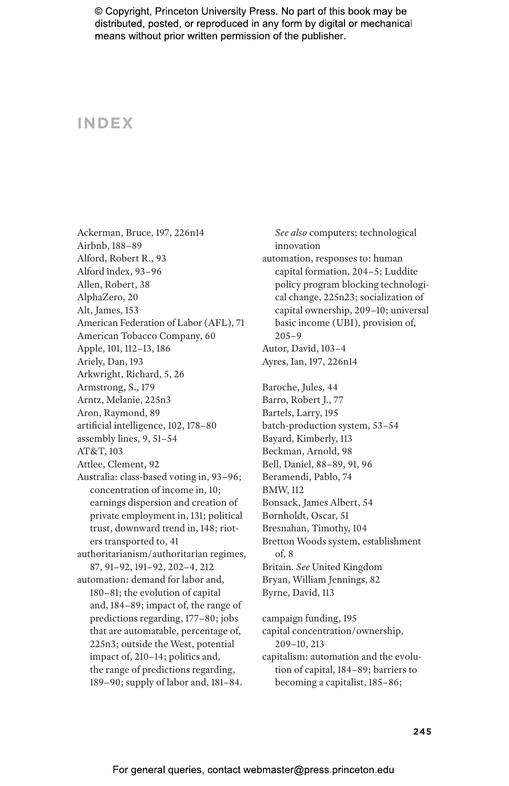# **INDEX**

Ackerman, Bruce, 197, 226n14 Airbnb, 188–89 Alford, Robert R., 93 Alford index, 93–96 Allen, Robert, 38 AlphaZero, 20 Alt, James, 153 American Federation of Labor (AFL), 71 American Tobacco Company, 60 Apple, 101, 112–13, 186 Ariely, Dan, 193 Arkwright, Richard, 5, 26 Armstrong, S., 179 Arntz, Melanie, 225n3 Aron, Raymond, 89 artificial intelligence, 102, 178–80 assembly lines, 9, 51–54 AT&T, 103 Attlee, Clement, 92 Australia: class-based voting in, 93–96; concentration of income in, 10; earnings dispersion and creation of private employment in, 131; political trust, downward trend in, 148; rioters transported to, 41 authoritarianism/authoritarian regimes, 87, 91–92, 191–92, 202–4, 212 automation: demand for labor and, 180–81; the evolution of capital and, 184–89; impact of, the range of predictions regarding, 177–80; jobs that are automatable, percentage of, 225n3; outside the West, potential impact of, 210–14; politics and, the range of predictions regarding, 189–90; supply of labor and, 181–84.

*See also* computers; technological innovation automation, responses to: human capital formation, 204–5; Luddite policy program blocking technological change, 225n23; socialization of capital ownership, 209–10; universal basic income (UBI), provision of, 205–9 Autor, David, 103–4 Ayres, Ian, 197, 226n14 Baroche, Jules, 44 Barro, Robert J., 77 Bartels, Larry, 195 batch-production system, 53–54 Bayard, Kimberly, 113 Beckman, Arnold, 98 Bell, Daniel, 88–89, 91, 96 Beramendi, Pablo, 74 BMW, 112 Bonsack, James Albert, 54 Bornholdt, Oscar, 51 Bresnahan, Timothy, 104 Bretton Woods system, establishment of, 8 Britain. *See* United Kingdom Bryan, William Jennings, 82 Byrne, David, 113

campaign funding, 195 capital concentration/ownership, 209–10, 213 capitalism: automation and the evolution of capital, 184–89; barriers to becoming a capitalist, 185–86;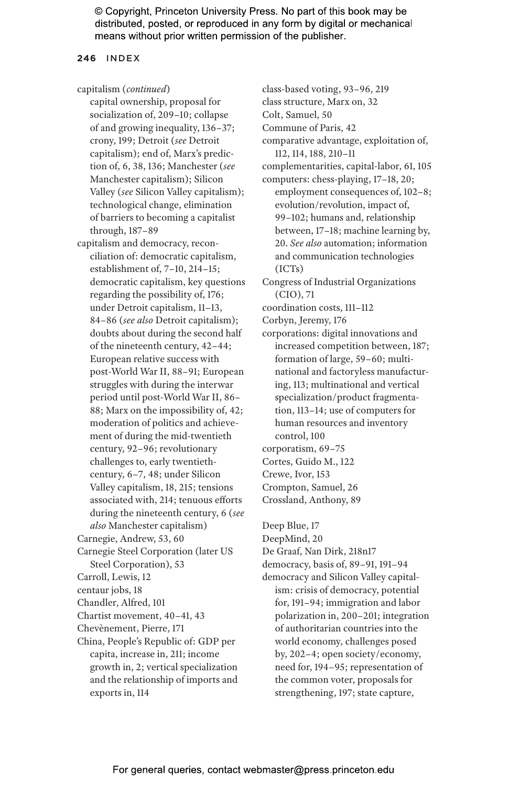#### **246** index

capitalism (*continued*) capital ownership, proposal for socialization of, 209–10; collapse of and growing inequality, 136–37; crony, 199; Detroit (*see* Detroit capitalism); end of, Marx's prediction of, 6, 38, 136; Manchester (*see* Manchester capitalism); Silicon Valley (*see* Silicon Valley capitalism); technological change, elimination of barriers to becoming a capitalist through, 187–89

capitalism and democracy, reconciliation of: democratic capitalism, establishment of, 7–10, 214–15; democratic capitalism, key questions regarding the possibility of, 176; under Detroit capitalism, 11–13, 84–86 (*see also* Detroit capitalism); doubts about during the second half of the nineteenth century, 42–44; European relative success with post-World War II, 88–91; European struggles with during the interwar period until post-World War II, 86– 88; Marx on the impossibility of, 42; moderation of politics and achievement of during the mid-twentieth century, 92–96; revolutionary challenges to, early twentiethcentury, 6–7, 48; under Silicon Valley capitalism, 18, 215; tensions associated with, 214; tenuous efforts during the nineteenth century, 6 (*see also* Manchester capitalism) Carnegie, Andrew, 53, 60 Carnegie Steel Corporation (later US Steel Corporation), 53 Carroll, Lewis, 12 centaur jobs, 18 Chandler, Alfred, 101 Chartist movement, 40–41, 43 Chevènement, Pierre, 171 China, People's Republic of: GDP per capita, increase in, 211; income growth in, 2; vertical specialization

and the relationship of imports and exports in, 114

class-based voting, 93–96, 219 class structure, Marx on, 32 Colt, Samuel, 50 Commune of Paris, 42 comparative advantage, exploitation of, 112, 114, 188, 210–11 complementarities, capital-labor, 61, 105 computers: chess-playing, 17–18, 20; employment consequences of, 102–8; evolution/revolution, impact of, 99–102; humans and, relationship between, 17–18; machine learning by, 20. *See also* automation; information and communication technologies (ICTs) Congress of Industrial Organizations (CIO), 71 coordination costs, 111–112 Corbyn, Jeremy, 176 corporations: digital innovations and increased competition between, 187; formation of large, 59–60; multinational and factoryless manufacturing, 113; multinational and vertical specialization/product fragmentation, 113–14; use of computers for human resources and inventory control, 100 corporatism, 69–75

- Cortes, Guido M., 122
- Crewe, Ivor, 153
- Crompton, Samuel, 26 Crossland, Anthony, 89
- Deep Blue, 17
- DeepMind, 20
- De Graaf, Nan Dirk, 218n17
- democracy, basis of, 89–91, 191–94
- democracy and Silicon Valley capital-
- ism: crisis of democracy, potential for, 191–94; immigration and labor polarization in, 200–201; integration of authoritarian countries into the world economy, challenges posed by, 202–4; open society/economy, need for, 194–95; representation of the common voter, proposals for strengthening, 197; state capture,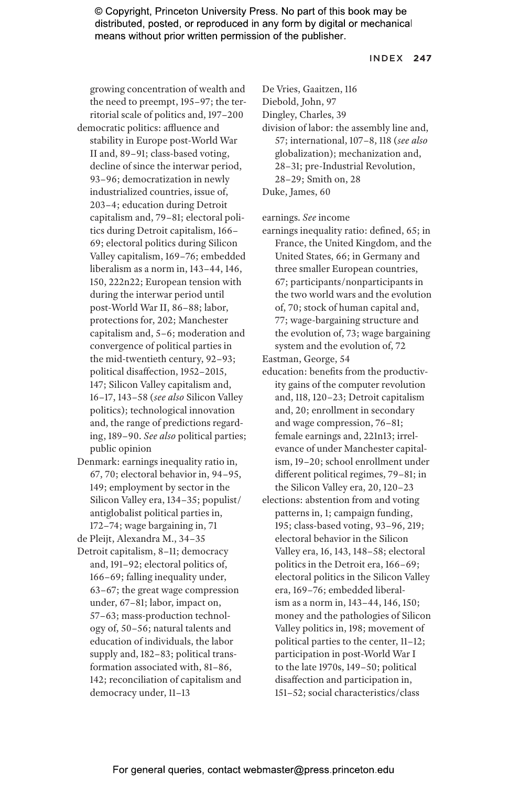#### index **247**

growing concentration of wealth and the need to preempt, 195–97; the territorial scale of politics and, 197–200 democratic politics: affluence and stability in Europe post-World War II and, 89–91; class-based voting, decline of since the interwar period, 93–96; democratization in newly industrialized countries, issue of, 203–4; education during Detroit capitalism and, 79–81; electoral politics during Detroit capitalism, 166– 69; electoral politics during Silicon Valley capitalism, 169–76; embedded liberalism as a norm in, 143–44, 146, 150, 222n22; European tension with during the interwar period until post-World War II, 86–88; labor, protections for, 202; Manchester capitalism and, 5–6; moderation and convergence of political parties in the mid-twentieth century, 92–93; political disaffection, 1952–2015, 147; Silicon Valley capitalism and, 16–17, 143–58 (*see also* Silicon Valley politics); technological innovation and, the range of predictions regarding, 189–90. *See also* political parties; public opinion

- Denmark: earnings inequality ratio in, 67, 70; electoral behavior in, 94–95, 149; employment by sector in the Silicon Valley era, 134–35; populist/ antiglobalist political parties in, 172–74; wage bargaining in, 71
- de Pleijt, Alexandra M., 34–35 Detroit capitalism, 8–11; democracy and, 191–92; electoral politics of,
- 166–69; falling inequality under, 63–67; the great wage compression under, 67–81; labor, impact on, 57–63; mass-production technology of, 50–56; natural talents and education of individuals, the labor supply and, 182–83; political transformation associated with, 81–86, 142; reconciliation of capitalism and democracy under, 11–13

De Vries, Gaaitzen, 116 Diebold, John, 97 Dingley, Charles, 39 division of labor: the assembly line and, 57; international, 107–8, 118 (*see also* globalization); mechanization and, 28–31; pre-Industrial Revolution, 28–29; Smith on, 28 Duke, James, 60

earnings. *See* income

- earnings inequality ratio: defined, 65; in France, the United Kingdom, and the United States, 66; in Germany and three smaller European countries, 67; participants/nonparticipants in the two world wars and the evolution of, 70; stock of human capital and, 77; wage-bargaining structure and the evolution of, 73; wage bargaining system and the evolution of, 72 Eastman, George, 54
- education: benefits from the productivity gains of the computer revolution and, 118, 120–23; Detroit capitalism and, 20; enrollment in secondary and wage compression, 76–81; female earnings and, 221n13; irrelevance of under Manchester capitalism, 19–20; school enrollment under different political regimes, 79–81; in the Silicon Valley era, 20, 120–23
- elections: abstention from and voting patterns in, 1; campaign funding, 195; class-based voting, 93–96, 219; electoral behavior in the Silicon Valley era, 16, 143, 148–58; electoral politics in the Detroit era, 166–69; electoral politics in the Silicon Valley era, 169–76; embedded liberalism as a norm in, 143–44, 146, 150; money and the pathologies of Silicon Valley politics in, 198; movement of political parties to the center, 11–12; participation in post-World War I to the late 1970s, 149–50; political disaffection and participation in, 151–52; social characteristics/class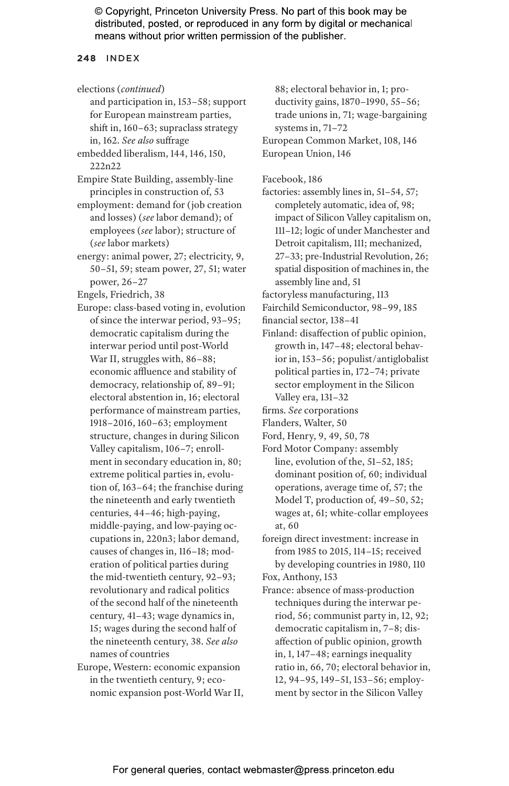#### **248** index

- elections (*continued*) and participation in, 153–58; support for European mainstream parties, shift in, 160–63; supraclass strategy in, 162. *See also* suffrage embedded liberalism, 144, 146, 150, 222n22 Empire State Building, assembly-line principles in construction of, 53 employment: demand for (job creation and losses) (*see* labor demand); of employees (*see* labor); structure of (*see* labor markets)
- energy: animal power, 27; electricity, 9, 50–51, 59; steam power, 27, 51; water power, 26–27
- Engels, Friedrich, 38
- Europe: class-based voting in, evolution of since the interwar period, 93–95; democratic capitalism during the interwar period until post-World War II, struggles with, 86–88; economic affluence and stability of democracy, relationship of, 89–91; electoral abstention in, 16; electoral performance of mainstream parties, 1918–2016, 160–63; employment structure, changes in during Silicon Valley capitalism, 106–7; enrollment in secondary education in, 80; extreme political parties in, evolution of, 163–64; the franchise during the nineteenth and early twentieth centuries, 44–46; high-paying, middle-paying, and low-paying occupations in, 220n3; labor demand, causes of changes in, 116–18; moderation of political parties during the mid-twentieth century, 92–93; revolutionary and radical politics of the second half of the nineteenth century, 41–43; wage dynamics in, 15; wages during the second half of the nineteenth century, 38. *See also* names of countries
- Europe, Western: economic expansion in the twentieth century, 9; economic expansion post-World War II,

88; electoral behavior in, 1; productivity gains, 1870–1990, 55–56; trade unions in, 71; wage-bargaining systems in, 71–72 European Common Market, 108, 146 European Union, 146

- Facebook, 186
- factories: assembly lines in, 51–54, 57; completely automatic, idea of, 98; impact of Silicon Valley capitalism on, 111–12; logic of under Manchester and Detroit capitalism, 111; mechanized, 27–33; pre-Industrial Revolution, 26; spatial disposition of machines in, the assembly line and, 51
- factoryless manufacturing, 113
- Fairchild Semiconductor, 98–99, 185
- financial sector, 138–41
- Finland: disaffection of public opinion, growth in, 147–48; electoral behavior in, 153–56; populist/antiglobalist political parties in, 172–74; private sector employment in the Silicon Valley era, 131–32
- firms. *See* corporations
- Flanders, Walter, 50
- Ford, Henry, 9, 49, 50, 78
- Ford Motor Company: assembly line, evolution of the, 51–52, 185; dominant position of, 60; individual operations, average time of, 57; the Model T, production of, 49–50, 52; wages at, 61; white-collar employees at, 60
- foreign direct investment: increase in from 1985 to 2015, 114–15; received by developing countries in 1980, 110 Fox, Anthony, 153
- France: absence of mass-production techniques during the interwar period, 56; communist party in, 12, 92; democratic capitalism in, 7–8; disaffection of public opinion, growth in, 1, 147–48; earnings inequality ratio in, 66, 70; electoral behavior in, 12, 94–95, 149–51, 153–56; employment by sector in the Silicon Valley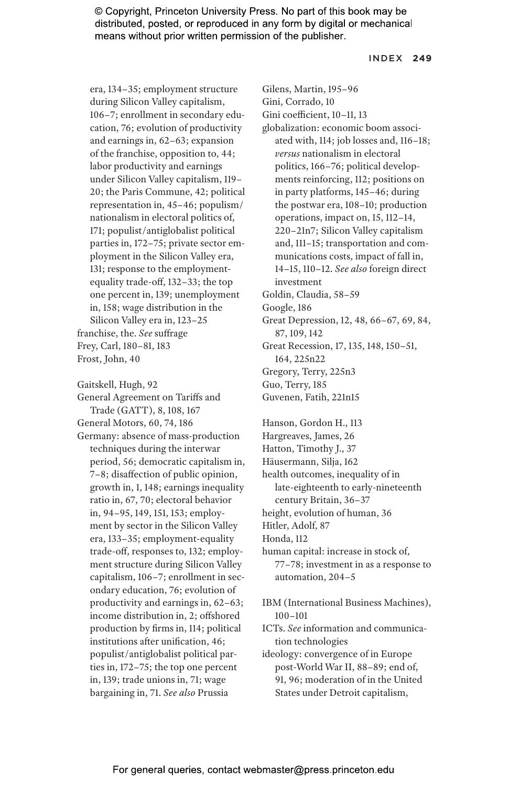#### index **249**

era, 134–35; employment structure during Silicon Valley capitalism, 106–7; enrollment in secondary education, 76; evolution of productivity and earnings in, 62–63; expansion of the franchise, opposition to, 44; labor productivity and earnings under Silicon Valley capitalism, 119– 20; the Paris Commune, 42; political representation in, 45–46; populism/ nationalism in electoral politics of, 171; populist/antiglobalist political parties in, 172–75; private sector employment in the Silicon Valley era, 131; response to the employmentequality trade-off, 132–33; the top one percent in, 139; unemployment in, 158; wage distribution in the Silicon Valley era in, 123–25 franchise, the. *See* suffrage Frey, Carl, 180–81, 183 Frost, John, 40

Gaitskell, Hugh, 92 General Agreement on Tariffs and Trade (GATT), 8, 108, 167 General Motors, 60, 74, 186 Germany: absence of mass-production techniques during the interwar period, 56; democratic capitalism in, 7–8; disaffection of public opinion, growth in, 1, 148; earnings inequality ratio in, 67, 70; electoral behavior in, 94–95, 149, 151, 153; employment by sector in the Silicon Valley era, 133–35; employment-equality trade-off, responses to, 132; employment structure during Silicon Valley capitalism, 106–7; enrollment in secondary education, 76; evolution of productivity and earnings in, 62–63; income distribution in, 2; offshored production by firms in, 114; political institutions after unification, 46; populist/antiglobalist political parties in, 172–75; the top one percent in, 139; trade unions in, 71; wage bargaining in, 71. *See also* Prussia

Gilens, Martin, 195–96 Gini, Corrado, 10 Gini coefficient, 10–11, 13 globalization: economic boom associated with, 114; job losses and, 116–18; *versus* nationalism in electoral politics, 166–76; political developments reinforcing, 112; positions on in party platforms, 145–46; during the postwar era, 108–10; production operations, impact on, 15, 112–14, 220–21n7; Silicon Valley capitalism and, 111–15; transportation and communications costs, impact of fall in, 14–15, 110–12. *See also* foreign direct investment Goldin, Claudia, 58–59 Google, 186 Great Depression, 12, 48, 66–67, 69, 84, 87, 109, 142 Great Recession, 17, 135, 148, 150–51, 164, 225n22 Gregory, Terry, 225n3 Guo, Terry, 185 Guvenen, Fatih, 221n15

Hanson, Gordon H., 113 Hargreaves, James, 26 Hatton, Timothy J., 37 Häusermann, Silja, 162 health outcomes, inequality of in late-eighteenth to early-nineteenth century Britain, 36–37 height, evolution of human, 36 Hitler, Adolf, 87 Honda, 112 human capital: increase in stock of, 77–78; investment in as a response to automation, 204–5

IBM (International Business Machines), 100–101

ICTs. *See* information and communication technologies

ideology: convergence of in Europe post-World War II, 88–89; end of, 91, 96; moderation of in the United States under Detroit capitalism,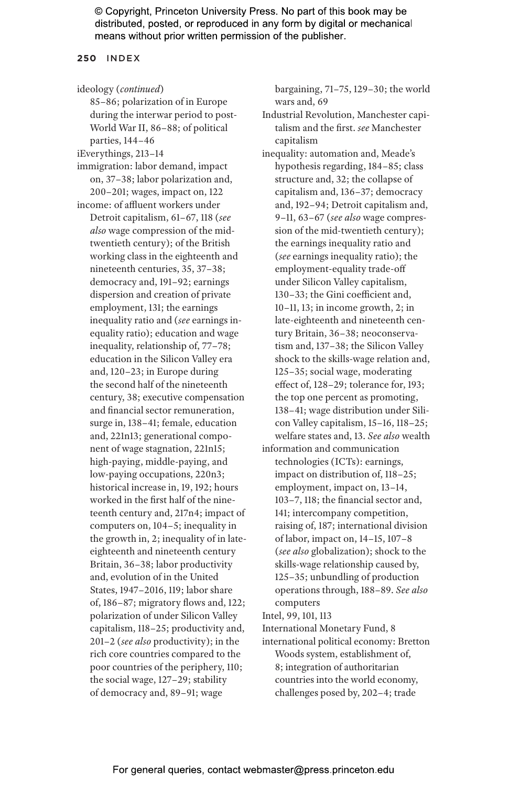#### **250** index

ideology (*continued*)

85–86; polarization of in Europe during the interwar period to post-World War II, 86–88; of political parties, 144–46

- iEverythings, 213–14
- immigration: labor demand, impact on, 37–38; labor polarization and, 200–201; wages, impact on, 122
- income: of affluent workers under Detroit capitalism, 61–67, 118 (*see also* wage compression of the midtwentieth century); of the British working class in the eighteenth and nineteenth centuries, 35, 37–38; democracy and, 191–92; earnings dispersion and creation of private employment, 131; the earnings inequality ratio and (*see* earnings inequality ratio); education and wage inequality, relationship of, 77–78; education in the Silicon Valley era and, 120–23; in Europe during the second half of the nineteenth century, 38; executive compensation and financial sector remuneration, surge in, 138–41; female, education and, 221n13; generational component of wage stagnation, 221n15; high-paying, middle-paying, and low-paying occupations, 220n3; historical increase in, 19, 192; hours worked in the first half of the nineteenth century and, 217n4; impact of computers on, 104–5; inequality in the growth in, 2; inequality of in lateeighteenth and nineteenth century Britain, 36–38; labor productivity and, evolution of in the United States, 1947–2016, 119; labor share of, 186–87; migratory flows and, 122; polarization of under Silicon Valley capitalism, 118–25; productivity and, 201–2 (*see also* productivity); in the rich core countries compared to the poor countries of the periphery, 110; the social wage, 127–29; stability of democracy and, 89–91; wage

bargaining, 71–75, 129–30; the world wars and, 69

- Industrial Revolution, Manchester capitalism and the first. *see* Manchester capitalism
- inequality: automation and, Meade's hypothesis regarding, 184–85; class structure and, 32; the collapse of capitalism and, 136–37; democracy and, 192–94; Detroit capitalism and, 9–11, 63–67 (*see also* wage compression of the mid-twentieth century); the earnings inequality ratio and (*see* earnings inequality ratio); the employment-equality trade-off under Silicon Valley capitalism, 130–33; the Gini coefficient and, 10–11, 13; in income growth, 2; in late-eighteenth and nineteenth century Britain, 36–38; neoconservatism and, 137–38; the Silicon Valley shock to the skills-wage relation and, 125–35; social wage, moderating effect of, 128–29; tolerance for, 193; the top one percent as promoting, 138–41; wage distribution under Silicon Valley capitalism, 15–16, 118–25; welfare states and, 13. *See also* wealth
- information and communication technologies (ICTs): earnings, impact on distribution of, 118–25; employment, impact on, 13–14, 103–7, 118; the financial sector and, 141; intercompany competition, raising of, 187; international division of labor, impact on, 14–15, 107–8 (*see also* globalization); shock to the skills-wage relationship caused by, 125–35; unbundling of production operations through, 188–89. *See also* computers

Intel, 99, 101, 113

International Monetary Fund, 8

international political economy: Bretton Woods system, establishment of, 8; integration of authoritarian countries into the world economy, challenges posed by, 202–4; trade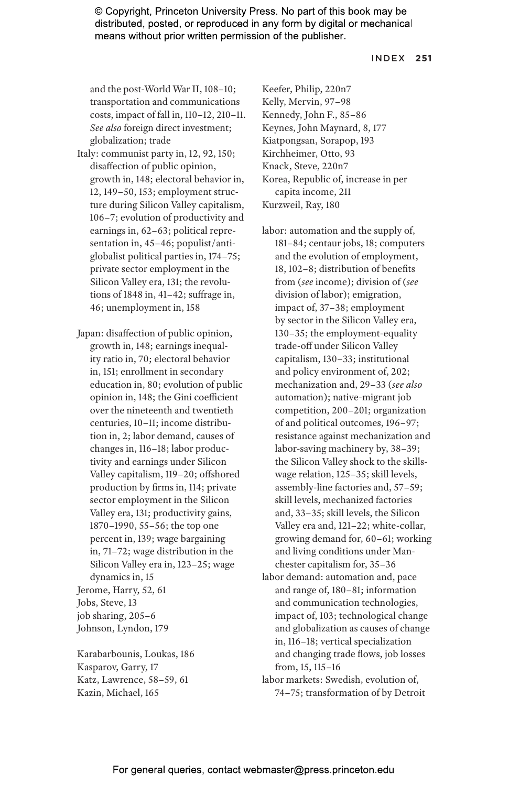#### index **251**

and the post-World War II, 108–10; transportation and communications costs, impact of fall in, 110–12, 210–11. *See also* foreign direct investment; globalization; trade

Italy: communist party in, 12, 92, 150; disaffection of public opinion, growth in, 148; electoral behavior in, 12, 149–50, 153; employment structure during Silicon Valley capitalism, 106–7; evolution of productivity and earnings in, 62–63; political representation in, 45–46; populist/antiglobalist political parties in, 174–75; private sector employment in the Silicon Valley era, 131; the revolutions of 1848 in, 41–42; suffrage in, 46; unemployment in, 158

Japan: disaffection of public opinion, growth in, 148; earnings inequality ratio in, 70; electoral behavior in, 151; enrollment in secondary education in, 80; evolution of public opinion in, 148; the Gini coefficient over the nineteenth and twentieth centuries, 10–11; income distribution in, 2; labor demand, causes of changes in, 116–18; labor productivity and earnings under Silicon Valley capitalism, 119–20; offshored production by firms in, 114; private sector employment in the Silicon Valley era, 131; productivity gains, 1870–1990, 55–56; the top one percent in, 139; wage bargaining in, 71–72; wage distribution in the Silicon Valley era in, 123–25; wage dynamics in, 15 Jerome, Harry, 52, 61 Jobs, Steve, 13 job sharing, 205–6 Johnson, Lyndon, 179

Karabarbounis, Loukas, 186 Kasparov, Garry, 17 Katz, Lawrence, 58–59, 61 Kazin, Michael, 165

Keefer, Philip, 220n7 Kelly, Mervin, 97–98 Kennedy, John F., 85–86 Keynes, John Maynard, 8, 177 Kiatpongsan, Sorapop, 193 Kirchheimer, Otto, 93 Knack, Steve, 220n7 Korea, Republic of, increase in per capita income, 211 Kurzweil, Ray, 180

labor: automation and the supply of, 181–84; centaur jobs, 18; computers and the evolution of employment, 18, 102–8; distribution of benefits from (*see* income); division of (*see* division of labor); emigration, impact of, 37–38; employment by sector in the Silicon Valley era, 130–35; the employment-equality trade-off under Silicon Valley capitalism, 130–33; institutional and policy environment of, 202; mechanization and, 29–33 (*see also* automation); native-migrant job competition, 200–201; organization of and political outcomes, 196–97; resistance against mechanization and labor-saving machinery by, 38–39; the Silicon Valley shock to the skillswage relation, 125–35; skill levels, assembly-line factories and, 57–59; skill levels, mechanized factories and, 33–35; skill levels, the Silicon Valley era and, 121–22; white-collar, growing demand for, 60–61; working and living conditions under Manchester capitalism for, 35–36

labor demand: automation and, pace and range of, 180–81; information and communication technologies, impact of, 103; technological change and globalization as causes of change in, 116–18; vertical specialization and changing trade flows, job losses from, 15, 115–16

labor markets: Swedish, evolution of, 74–75; transformation of by Detroit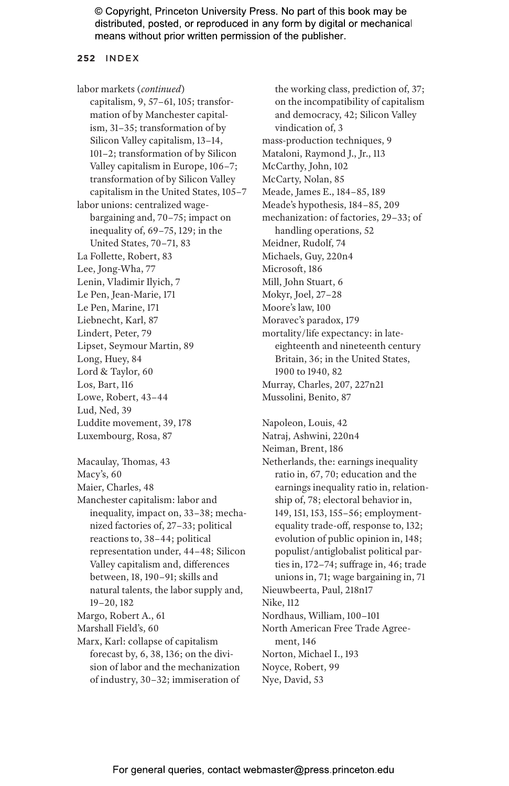#### **252** index

labor markets (*continued*) capitalism, 9, 57–61, 105; transformation of by Manchester capitalism, 31–35; transformation of by Silicon Valley capitalism, 13–14, 101–2; transformation of by Silicon Valley capitalism in Europe, 106–7; transformation of by Silicon Valley capitalism in the United States, 105–7 labor unions: centralized wagebargaining and, 70–75; impact on inequality of, 69–75, 129; in the United States, 70–71, 83 La Follette, Robert, 83 Lee, Jong-Wha, 77 Lenin, Vladimir Ilyich, 7 Le Pen, Jean-Marie, 171 Le Pen, Marine, 171 Liebnecht, Karl, 87 Lindert, Peter, 79 Lipset, Seymour Martin, 89 Long, Huey, 84 Lord & Taylor, 60 Los, Bart, 116 Lowe, Robert, 43–44 Lud, Ned, 39 Luddite movement, 39, 178 Luxembourg, Rosa, 87 Macaulay, Thomas, 43 Macy's, 60

Maier, Charles, 48 Manchester capitalism: labor and inequality, impact on, 33–38; mechanized factories of, 27–33; political reactions to, 38–44; political representation under, 44–48; Silicon Valley capitalism and, differences between, 18, 190–91; skills and natural talents, the labor supply and, 19–20, 182 Margo, Robert A., 61

Marshall Field's, 60

Marx, Karl: collapse of capitalism forecast by, 6, 38, 136; on the division of labor and the mechanization of industry, 30–32; immiseration of

the working class, prediction of, 37; on the incompatibility of capitalism and democracy, 42; Silicon Valley vindication of, 3 mass-production techniques, 9 Mataloni, Raymond J., Jr., 113 McCarthy, John, 102 McCarty, Nolan, 85 Meade, James E., 184–85, 189 Meade's hypothesis, 184–85, 209 mechanization: of factories, 29–33; of handling operations, 52 Meidner, Rudolf, 74 Michaels, Guy, 220n4 Microsoft, 186 Mill, John Stuart, 6 Mokyr, Joel, 27–28 Moore's law, 100 Moravec's paradox, 179 mortality/life expectancy: in lateeighteenth and nineteenth century Britain, 36; in the United States, 1900 to 1940, 82 Murray, Charles, 207, 227n21 Mussolini, Benito, 87

Napoleon, Louis, 42 Natraj, Ashwini, 220n4 Neiman, Brent, 186 Netherlands, the: earnings inequality ratio in, 67, 70; education and the earnings inequality ratio in, relationship of, 78; electoral behavior in, 149, 151, 153, 155–56; employmentequality trade-off, response to, 132; evolution of public opinion in, 148; populist/antiglobalist political parties in, 172–74; suffrage in, 46; trade unions in, 71; wage bargaining in, 71 Nieuwbeerta, Paul, 218n17 Nike, 112 Nordhaus, William, 100–101 North American Free Trade Agreement, 146 Norton, Michael I., 193 Noyce, Robert, 99 Nye, David, 53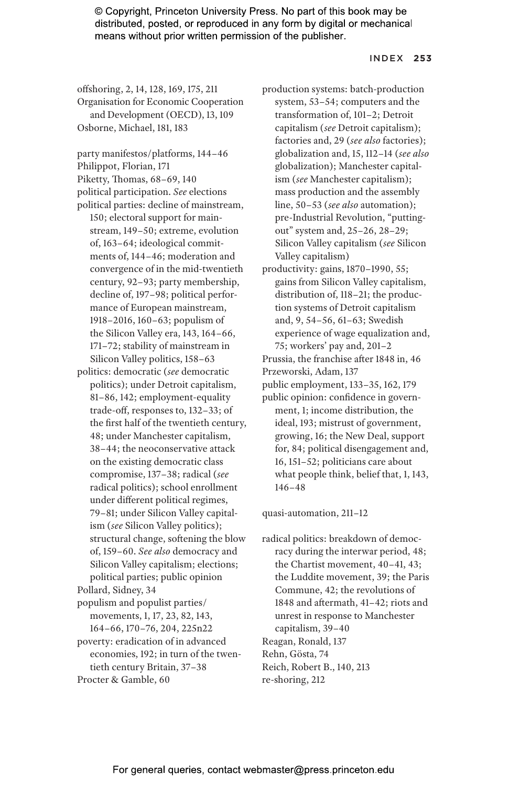#### index **253**

offshoring, 2, 14, 128, 169, 175, 211 Organisation for Economic Cooperation and Development (OECD), 13, 109 Osborne, Michael, 181, 183

party manifestos/platforms, 144–46 Philippot, Florian, 171 Piketty, Thomas, 68–69, 140 political participation. *See* elections political parties: decline of mainstream, 150; electoral support for mainstream, 149–50; extreme, evolution of, 163–64; ideological commitments of, 144–46; moderation and convergence of in the mid-twentieth century, 92–93; party membership, decline of, 197–98; political performance of European mainstream, 1918–2016, 160–63; populism of the Silicon Valley era, 143, 164–66, 171–72; stability of mainstream in Silicon Valley politics, 158–63 politics: democratic (*see* democratic politics); under Detroit capitalism, 81–86, 142; employment-equality trade-off, responses to, 132–33; of the first half of the twentieth century, 48; under Manchester capitalism, 38–44; the neoconservative attack on the existing democratic class compromise, 137–38; radical (*see* radical politics); school enrollment under different political regimes, 79–81; under Silicon Valley capitalism (*see* Silicon Valley politics); structural change, softening the blow of, 159–60. *See also* democracy and Silicon Valley capitalism; elections; political parties; public opinion Pollard, Sidney, 34 populism and populist parties/ movements, 1, 17, 23, 82, 143, 164–66, 170–76, 204, 225n22 poverty: eradication of in advanced economies, 192; in turn of the twentieth century Britain, 37–38 Procter & Gamble, 60

production systems: batch-production system, 53–54; computers and the transformation of, 101–2; Detroit capitalism (*see* Detroit capitalism); factories and, 29 (*see also* factories); globalization and, 15, 112–14 (*see also* globalization); Manchester capitalism (*see* Manchester capitalism); mass production and the assembly line, 50–53 (*see also* automation); pre-Industrial Revolution, "puttingout" system and, 25–26, 28–29; Silicon Valley capitalism (*see* Silicon Valley capitalism)

productivity: gains, 1870–1990, 55; gains from Silicon Valley capitalism, distribution of, 118–21; the production systems of Detroit capitalism and, 9, 54–56, 61–63; Swedish experience of wage equalization and, 75; workers' pay and, 201–2 Prussia, the franchise after 1848 in, 46 Przeworski, Adam, 137 public employment, 133–35, 162, 179 public opinion: confidence in government, 1; income distribution, the ideal, 193; mistrust of government, growing, 16; the New Deal, support for, 84; political disengagement and, 16, 151–52; politicians care about what people think, belief that, 1, 143,

quasi-automation, 211–12

146–48

radical politics: breakdown of democracy during the interwar period, 48; the Chartist movement, 40–41, 43; the Luddite movement, 39; the Paris Commune, 42; the revolutions of 1848 and aftermath, 41–42; riots and unrest in response to Manchester capitalism, 39–40 Reagan, Ronald, 137 Rehn, Gösta, 74 Reich, Robert B., 140, 213 re-shoring, 212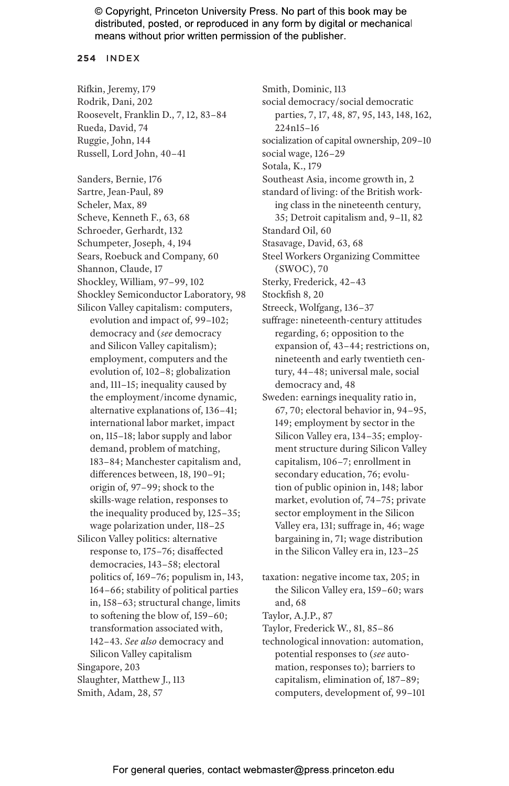#### **254** index

Rifkin, Jeremy, 179 Rodrik, Dani, 202 Roosevelt, Franklin D., 7, 12, 83–84 Rueda, David, 74 Ruggie, John, 144 Russell, Lord John, 40–41 Sanders, Bernie, 176 Sartre, Jean-Paul, 89 Scheler, Max, 89 Scheve, Kenneth F., 63, 68 Schroeder, Gerhardt, 132 Schumpeter, Joseph, 4, 194 Sears, Roebuck and Company, 60 Shannon, Claude, 17 Shockley, William, 97–99, 102 Shockley Semiconductor Laboratory, 98 Silicon Valley capitalism: computers, evolution and impact of, 99–102; democracy and (*see* democracy and Silicon Valley capitalism); employment, computers and the evolution of, 102–8; globalization and, 111–15; inequality caused by the employment/income dynamic, alternative explanations of, 136–41; international labor market, impact on, 115–18; labor supply and labor demand, problem of matching, 183–84; Manchester capitalism and, differences between, 18, 190–91; origin of, 97–99; shock to the skills-wage relation, responses to the inequality produced by, 125–35; wage polarization under, 118–25 Silicon Valley politics: alternative response to, 175–76; disaffected democracies, 143–58; electoral politics of, 169–76; populism in, 143, 164–66; stability of political parties in, 158–63; structural change, limits to softening the blow of, 159–60; transformation associated with, 142–43. *See also* democracy and Silicon Valley capitalism Singapore, 203 Slaughter, Matthew J., 113 Smith, Adam, 28, 57

Smith, Dominic, 113 social democracy/social democratic parties, 7, 17, 48, 87, 95, 143, 148, 162, 224n15–16 socialization of capital ownership, 209–10 social wage, 126–29 Sotala, K., 179 Southeast Asia, income growth in, 2 standard of living: of the British working class in the nineteenth century, 35; Detroit capitalism and, 9–11, 82 Standard Oil, 60 Stasavage, David, 63, 68 Steel Workers Organizing Committee (SWOC), 70 Sterky, Frederick, 42–43 Stockfish 8, 20 Streeck, Wolfgang, 136–37 suffrage: nineteenth-century attitudes regarding, 6; opposition to the expansion of, 43–44; restrictions on, nineteenth and early twentieth century, 44–48; universal male, social democracy and, 48 Sweden: earnings inequality ratio in, 67, 70; electoral behavior in, 94–95, 149; employment by sector in the Silicon Valley era, 134–35; employment structure during Silicon Valley capitalism, 106–7; enrollment in secondary education, 76; evolution of public opinion in, 148; labor market, evolution of, 74–75; private sector employment in the Silicon Valley era, 131; suffrage in, 46; wage bargaining in, 71; wage distribution in the Silicon Valley era in, 123–25

taxation: negative income tax, 205; in the Silicon Valley era, 159–60; wars and, 68

Taylor, A.J.P., 87

- Taylor, Frederick W., 81, 85–86
- technological innovation: automation, potential responses to (*see* automation, responses to); barriers to capitalism, elimination of, 187–89; computers, development of, 99–101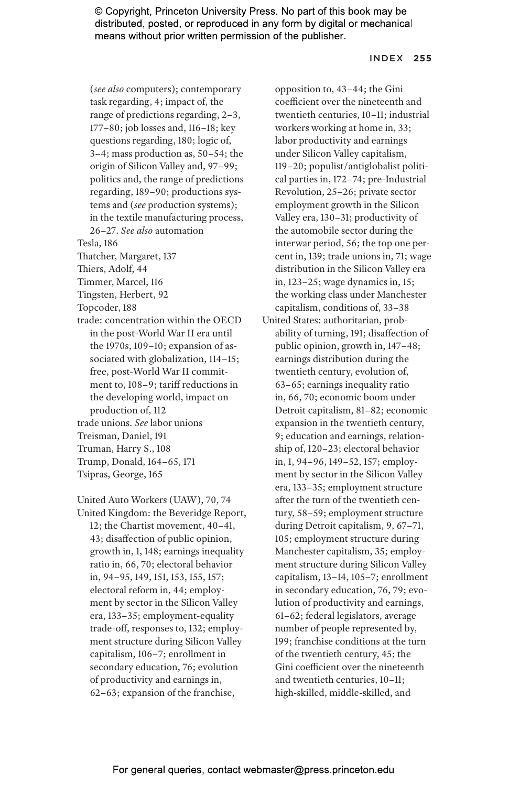#### index **255**

(*see also* computers); contemporary task regarding, 4; impact of, the range of predictions regarding, 2–3, 177–80; job losses and, 116–18; key questions regarding, 180; logic of, 3–4; mass production as, 50–54; the origin of Silicon Valley and, 97–99; politics and, the range of predictions regarding, 189–90; productions systems and (*see* production systems); in the textile manufacturing process, 26–27. *See also* automation

- Tesla, 186
- Thatcher, Margaret, 137
- Thiers, Adolf, 44
- Timmer, Marcel, 116
- Tingsten, Herbert, 92
- Topcoder, 188
- trade: concentration within the OECD in the post-World War II era until the 1970s, 109–10; expansion of associated with globalization, 114–15; free, post-World War II commitment to, 108–9; tariff reductions in the developing world, impact on production of, 112 trade unions. *See* labor unions Treisman, Daniel, 191 Truman, Harry S., 108 Trump, Donald, 164–65, 171 Tsipras, George, 165
- United Auto Workers (UAW), 70, 74 United Kingdom: the Beveridge Report, 12; the Chartist movement, 40–41, 43; disaffection of public opinion, growth in, 1, 148; earnings inequality ratio in, 66, 70; electoral behavior in, 94–95, 149, 151, 153, 155, 157; electoral reform in, 44; employment by sector in the Silicon Valley era, 133–35; employment-equality trade-off, responses to, 132; employment structure during Silicon Valley capitalism, 106–7; enrollment in secondary education, 76; evolution of productivity and earnings in, 62–63; expansion of the franchise,

opposition to, 43–44; the Gini coefficient over the nineteenth and twentieth centuries, 10–11; industrial workers working at home in, 33; labor productivity and earnings under Silicon Valley capitalism, 119–20; populist/antiglobalist political parties in, 172–74; pre-Industrial Revolution, 25–26; private sector employment growth in the Silicon Valley era, 130–31; productivity of the automobile sector during the interwar period, 56; the top one percent in, 139; trade unions in, 71; wage distribution in the Silicon Valley era in, 123–25; wage dynamics in, 15; the working class under Manchester capitalism, conditions of, 33–38

United States: authoritarian, probability of turning, 191; disaffection of public opinion, growth in, 147–48; earnings distribution during the twentieth century, evolution of, 63–65; earnings inequality ratio in, 66, 70; economic boom under Detroit capitalism, 81–82; economic expansion in the twentieth century, 9; education and earnings, relationship of, 120–23; electoral behavior in, 1, 94–96, 149–52, 157; employment by sector in the Silicon Valley era, 133–35; employment structure after the turn of the twentieth century, 58–59; employment structure during Detroit capitalism, 9, 67–71, 105; employment structure during Manchester capitalism, 35; employment structure during Silicon Valley capitalism, 13–14, 105–7; enrollment in secondary education, 76, 79; evolution of productivity and earnings, 61–62; federal legislators, average number of people represented by, 199; franchise conditions at the turn of the twentieth century, 45; the Gini coefficient over the nineteenth and twentieth centuries, 10–11; high-skilled, middle-skilled, and